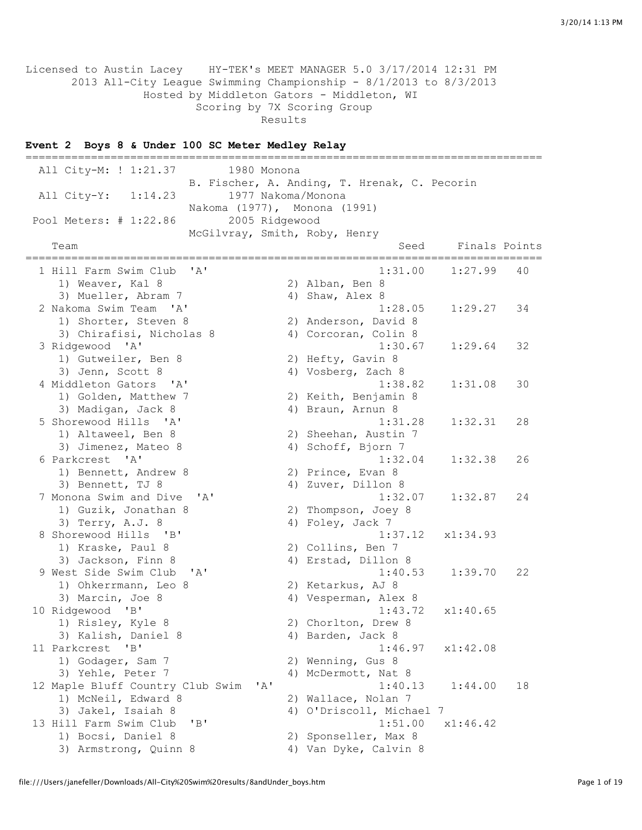Licensed to Austin Lacey HY-TEK's MEET MANAGER 5.0 3/17/2014 12:31 PM 2013 All-City League Swimming Championship - 8/1/2013 to 8/3/2013 Hosted by Middleton Gators - Middleton, WI Scoring by 7X Scoring Group Results

## **Event 2 Boys 8 & Under 100 SC Meter Medley Relay**

=============================================================================== All City-M: ! 1:21.37 1980 Monona B. Fischer, A. Anding, T. Hrenak, C. Pecorin All City-Y: 1:14.23 1977 Nakoma/Monona Nakoma (1977), Monona (1991) Pool Meters: # 1:22.86 2005 Ridgewood McGilvray, Smith, Roby, Henry Team Seed Finals Points =============================================================================== 1 Hill Farm Swim Club 'A' 1:31.00 1:27.99 40<br>1) Weaver, Kal 8 2) Alban, Ben 8 1) Weaver, Kal 8 2) Alban, Ben 8 3) Mueller, Abram 7 (4) Shaw, Alex 8 2 Nakoma Swim Team 'A' 1:28.05 1:29.27 34 1) Shorter, Steven 8 2) Anderson, David 8 3) Chirafisi, Nicholas 8 4) Corcoran, Colin 8 3 Ridgewood 'A' 1:30.67 1:29.64 32 1) Gutweiler, Ben 8 2) Hefty, Gavin 8 3) Jenn, Scott 8 4) Vosberg, Zach 8 4 Middleton Gators 'A' 1:38.82 1:31.08 30 1) Golden, Matthew 7 2) Keith, Benjamin 8 4 Middleton Gators 'A'<br>1) Golden, Matthew 7<br>3) Madigan, Jack 8 5 Shorewood Hills 'A' 1:31.28 1:32.31 28 1) Altaweel, Ben 8 2) Sheehan, Austin 7 3) Jimenez, Mateo 8 4) Schoff, Bjorn 7 6 Parkcrest 'A' 1:32.04 1:32.38 26 1) Bennett, Andrew 8 3) Bennett, TJ 8 <br>
Ionona Swim and Dive 'A' 4) Zuver, Dillon 8 <br>
1:32.07 1:32.87 7 Monona Swim and Dive 'A' 1:32.07 1:32.87 24 1) Guzik, Jonathan 8 2) Thompson, Joey 8 1:32.0<br>
3) Guzik, Jonathan 8 (a) Thompson, Joey 8<br>
3) Terry, A.J. 8 (a) Thompson, Joey 8<br>
4) Foley, Jack 7 8 Shorewood Hills 'B' 1:37.12 x1:34.93 1) Kraske, Paul 8 2) Collins, Ben 7 3) Jackson, Finn 8 4) Erstad, Dillon 8 9 West Side Swim Club 'A' 1:40.53 1:39.70 22<br>1) Ohkermann, Leo 8 2) Ketarkus, AJ 8 1) Ohkerrmann, Leo 8 2) Ketarkus, AJ 8 3) Marcin, Joe 8 4) Vesperman, Alex 8 10 Ridgewood 'B' 1:43.72 x1:40.65 1) Risley, Kyle 8 2) Chorlton, Drew 8 3) Kalish, Daniel 8 4) Barden, Jack 8 11 Parkcrest 'B' 1:46.97 x1:42.08 1) Godager, Sam 7 2) Wenning, Gus 8 3) Yehle, Peter 7 4) McDermott, Nat 8 12 Maple Bluff Country Club Swim 'A' 1:40.13 1:44.00 18 1) McNeil, Edward 8 2) Wallace, Nolan 7 3) Jakel, Isaiah 8 4) O'Driscoll, Michael 7 13 Hill Farm Swim Club 'B' 1:51.00 x1:46.42 1) Bocsi, Daniel 8 2) Sponseller, Max 8 3) Armstrong, Quinn 8 4) Van Dyke, Calvin 8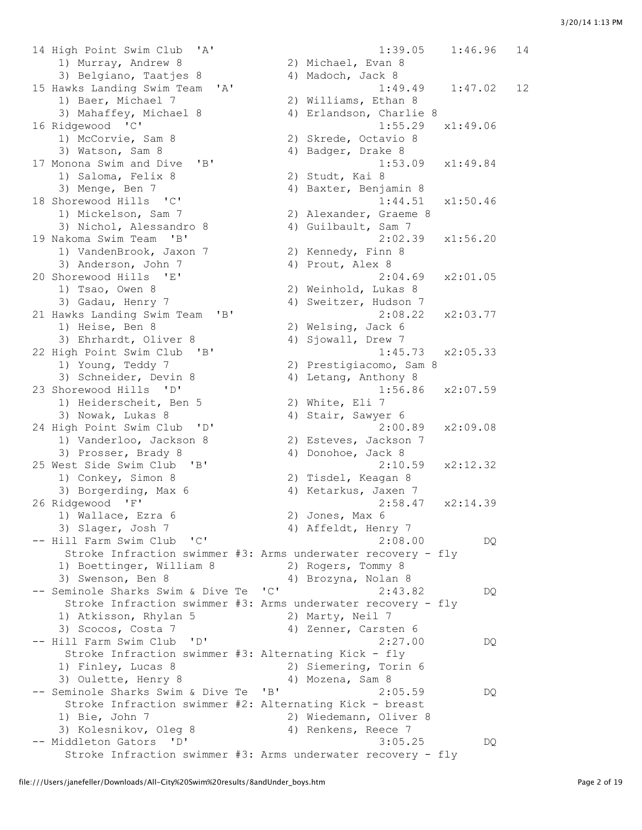14 High Point Swim Club 'A' 1:39.05 1:46.96 14<br>
1) Murray, Andrew 8 2) Michael, Evan 8<br>
3) Belgiano, Taatjes 8 4) Madoch, Jack 8 1) Murray, Andrew 8 2) Michael, Evan 8 3) Belgiano, Taatjes 8 (4) Madoch, Jack 8 15 Hawks Landing Swim Team 'A' 1:49.49 1:47.02 12 1) Baer, Michael 7 2) Williams, Ethan 8 3) Mahaffey, Michael 8 4) Erlandson, Charlie 8 16 Ridgewood 'C' 1:55.29 x1:49.06 1) McCorvie, Sam 8 2) Skrede, Octavio 8 3) Watson, Sam 8 4) Badger, Drake 8 17 Monona Swim and Dive 'B' 1:53.09 x1:49.84 1) Saloma, Felix 8 2) Studt, Kai 8 3) Menge, Ben 7 4) Baxter, Benjamin 8 18 Shorewood Hills 'C' 1:44.51 x1:50.46 1) Mickelson, Sam 7 2) Alexander, Graeme 8 1:44.51<br>3) Nickelson, Sam 7<br>3) Nichol, Alessandro 8 4) Guilbault, Sam 7 19 Nakoma Swim Team 'B' 2:02.39 x1:56.20 1) VandenBrook, Jaxon 7 2) Kennedy, Finn 8 3) Anderson, John 7 (4) Prout, Alex 8 20 Shorewood Hills 'E' 2:04.69 x2:01.05 1) Tsao, Owen 8 2) Weinhold, Lukas 8<br>3) Gadau, Henry 7 3 4) Sweitzer, Hudson 7 3) Gadau, Henry 7 4) Sweitzer, Hudson 7 21 Hawks Landing Swim Team 'B' 2:08.22 x2:03.77 1) Heise, Ben 8 2) Welsing, Jack 6 3) Ehrhardt, Oliver 8 4) Sjowall, Drew 7 22 High Point Swim Club 'B' 1:45.73 x2:05.33 1) Young, Teddy 7 2) Prestigiacomo, Sam 8 3) Schneider, Devin 8 4) Letang, Anthony 8 23 Shorewood Hills 'D' 1:56.86 x2:07.59 1) Heiderscheit, Ben 5 2) White, Eli 7 3) Nowak, Lukas 8 4) Stair, Sawyer 6 24 High Point Swim Club 'D' 2:00.89 x2:09.08 1) Vanderloo, Jackson 8 2) Esteves, Jackson 7 3) Prosser, Brady 8 4) Donohoe, Jack 8 25 West Side Swim Club 'B' 2:10.59 x2:12.32 1) Conkey, Simon 8 2) Tisdel, Keagan 8 3) Borgerding, Max 6 4) Ketarkus, Jaxen 7 26 Ridgewood 'F' 2:58.47 x2:14.39 1) Wallace, Ezra 6 2) Jones, Max 6 3) Slager, Josh 7 (4) Affeldt, Henry 7 -- Hill Farm Swim Club 'C' 2:08.00 DQ Stroke Infraction swimmer #3: Arms underwater recovery - fly 1) Boettinger, William 8 2) Rogers, Tommy 8 3) Swenson, Ben 8 4) Brozyna, Nolan 8 -- Seminole Sharks Swim & Dive Te 'C' 2:43.82 DQ Stroke Infraction swimmer #3: Arms underwater recovery - fly<br>
1) Atkisson, Rhylan 5 2) Marty, Neil 7<br>
3) Scocos, Costa 7 4) Zenner, Carsten 6 1) Atkisson, Rhylan 5 2) Marty, Neil 7 3) Scocos, Costa 7 4) Zenner, Carsten 6 -- Hill Farm Swim Club 'D' 2:27.00 DQ Stroke Infraction swimmer #3: Alternating Kick - fly 1) Finley, Lucas 8 2) Siemering, Torin 6 3) Oulette, Henry 8 4) Mozena, Sam 8 -- Seminole Sharks Swim & Dive Te 'B' 2:05.59 DQ Stroke Infraction swimmer #2: Alternating Kick - breast 1) Bie, John 7 2) Wiedemann, Oliver 8 3) Kolesnikov, Oleg 8 (4) Renkens, Reece 7 -- Middleton Gators 'D' 3:05.25 DQ Stroke Infraction swimmer #3: Arms underwater recovery - fly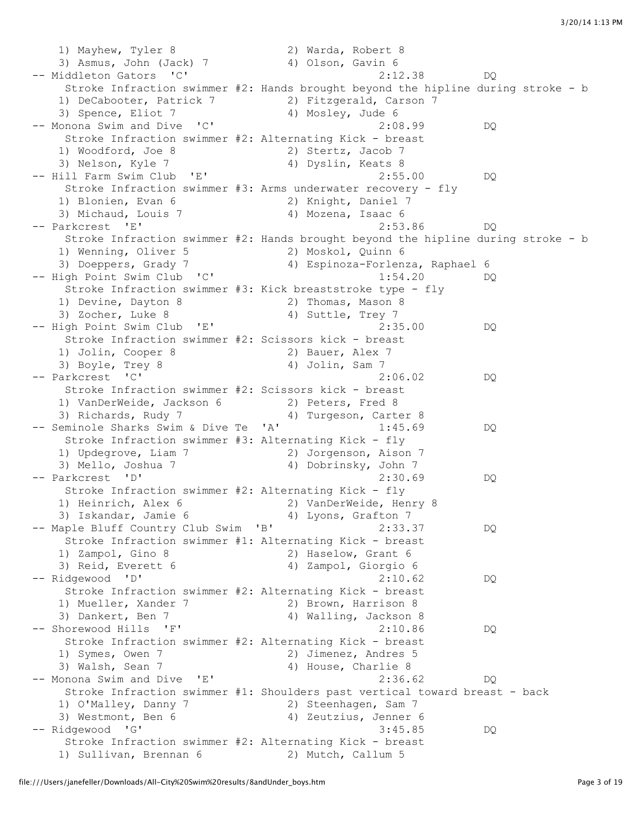1) Mayhew, Tyler 8 2) Warda, Robert 8 3) Asmus, John (Jack) 7 (4) Olson, Gavin 6 -- Middleton Gators 'C' 2:12.38 DQ Stroke Infraction swimmer #2: Hands brought beyond the hipline during stroke - b 1) DeCabooter, Patrick 7 2) Fitzgerald, Carson 7 3) Spence, Eliot 7 4) Mosley, Jude 6 -- Monona Swim and Dive 'C' 2:08.99 DQ Stroke Infraction swimmer #2: Alternating Kick - breast 1) Woodford, Joe 8 2) Stertz, Jacob 7 3) Nelson, Kyle 7 (4) Dyslin, Keats 8 -- Hill Farm Swim Club 'E' 2:55.00 DQ Stroke Infraction swimmer #3: Arms underwater recovery - fly 1) Blonien, Evan 6 2) Knight, Daniel 7 3) Michaud, Louis 7 4) Mozena, Isaac 6 -- Parkcrest 'E' 2:53.86 DQ Stroke Infraction swimmer #2: Hands brought beyond the hipline during stroke - b 1) Wenning, Oliver 5 2) Moskol, Quinn 6 3) Doeppers, Grady 7 4) Espinoza-Forlenza, Raphael 6 -- High Point Swim Club 'C' 1:54.20 DQ Stroke Infraction swimmer #3: Kick breaststroke type - fly 1) Devine, Dayton 8 2) Thomas, Mason 8 3) Zocher, Luke 8 4) Suttle, Trey 7 -- High Point Swim Club 'E' 2:35.00 DO Stroke Infraction swimmer #2: Scissors kick - breast 1) Jolin, Cooper 8 2) Bauer, Alex 7 3) Boyle, Trey 8 4) Jolin, Sam 7 -- Parkcrest 'C' 2:06.02 DQ Stroke Infraction swimmer #2: Scissors kick - breast 1) VanDerWeide, Jackson 6 2) Peters, Fred 8 3) Richards, Rudy 7 4) Turgeson, Carter 8 -- Seminole Sharks Swim & Dive Te 'A' 1:45.69 DQ Stroke Infraction swimmer #3: Alternating Kick - fly 1) Updegrove, Liam 7 2) Jorgenson, Aison 7 3) Mello, Joshua 7 4) Dobrinsky, John 7 -- Parkcrest 'D' 2:30.69 DQ Stroke Infraction swimmer #2: Alternating Kick - fly 1) Heinrich, Alex 6 2) VanDerWeide, Henry 8 3) Iskandar, Jamie 6 4) Lyons, Grafton 7 -- Maple Bluff Country Club Swim 'B' 2:33.37 DQ Stroke Infraction swimmer #1: Alternating Kick - breast 1) Zampol, Gino 8 2) Haselow, Grant 6 3) Reid, Everett 6 4) Zampol, Giorgio 6 -- Ridgewood 'D' 2:10.62 DQ Stroke Infraction swimmer #2: Alternating Kick - breast 1) Mueller, Xander 7 2) Brown, Harrison 8 3) Dankert, Ben 7 4) Walling, Jackson 8 -- Shorewood Hills 'F' 2:10.86 DQ Stroke Infraction swimmer #2: Alternating Kick - breast 1) Symes, Owen 7 2) Jimenez, Andres 5 3) Walsh, Sean 7 4) House, Charlie 8 -- Monona Swim and Dive 'E' 2:36.62 DQ Stroke Infraction swimmer #1: Shoulders past vertical toward breast - back 1) O'Malley, Danny 7 2) Steenhagen, Sam 7 3) Westmont, Ben 6 4) Zeutzius, Jenner 6 -- Ridgewood 'G' 3:45.85 DQ Stroke Infraction swimmer #2: Alternating Kick - breast 1) Sullivan, Brennan 6 2) Mutch, Callum 5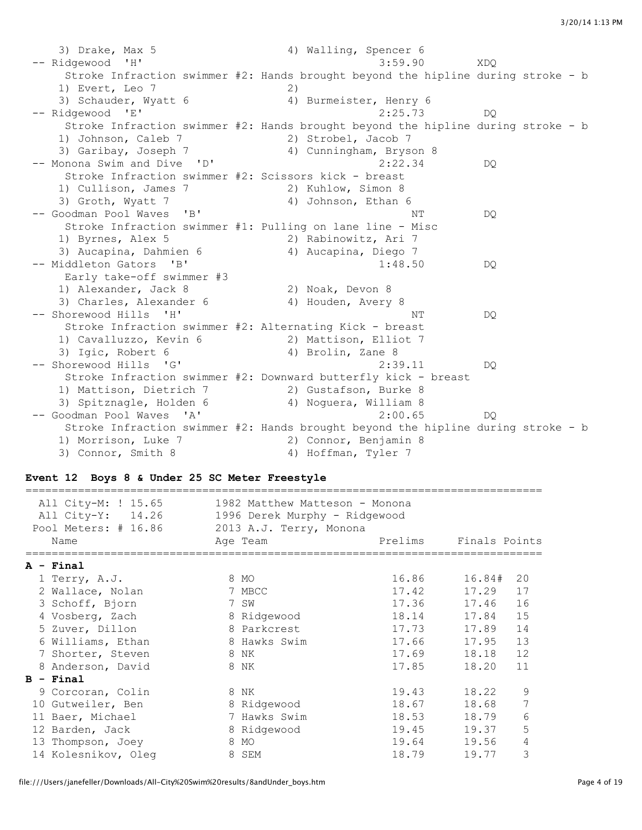3) Drake, Max 5 4) Walling, Spencer 6 -- Ridgewood 'H' 3:59.90 XDQ Stroke Infraction swimmer #2: Hands brought beyond the hipline during stroke - b 1) Evert, Leo 7 2) 3) Schauder, Wyatt 6 4) Burmeister, Henry 6 -- Ridgewood 'E' 2:25.73 DQ Stroke Infraction swimmer #2: Hands brought beyond the hipline during stroke - b 1) Johnson, Caleb 7 2) Strobel, Jacob 7 3) Garibay, Joseph 7 4) Cunningham, Bryson 8 -- Monona Swim and Dive 'D' 2:22.34 DQ Stroke Infraction swimmer #2: Scissors kick - breast 1) Cullison, James 7 2) Kuhlow, Simon 8 3) Groth, Wyatt 7 4) Johnson, Ethan 6 -- Goodman Pool Waves 'B' National Market Communication of the Market Communication of the Do Stroke Infraction swimmer #1: Pulling on lane line - Misc 1) Byrnes, Alex 5 2) Rabinowitz, Ari 7 3) Aucapina, Dahmien 6 4) Aucapina, Diego 7 -- Middleton Gators 'B' 1:48.50 DQ Early take-off swimmer #3 1) Alexander, Jack 8 2) Noak, Devon 8 3) Charles, Alexander 6 4) Houden, Avery 8 -- Shorewood Hills 'H' NT DQ Stroke Infraction swimmer #2: Alternating Kick - breast 1) Cavalluzzo, Kevin 6 2) Mattison, Elliot 7 3) Igic, Robert 6 4) Brolin, Zane 8 -- Shorewood Hills 'G' 2:39.11 DQ Stroke Infraction swimmer #2: Downward butterfly kick - breast 1) Mattison, Dietrich 7 2) Gustafson, Burke 8 3) Spitznagle, Holden 6 4) Noguera, William 8 -- Goodman Pool Waves 'A' 2:00.65 DQ Stroke Infraction swimmer #2: Hands brought beyond the hipline during stroke - b 1) Morrison, Luke 7 2) Connor, Benjamin 8 3) Connor, Smith 8 4) Hoffman, Tyler 7

#### **Event 12 Boys 8 & Under 25 SC Meter Freestyle**

| All City-M: ! 15.65<br>All City-Y: 14.26<br>Pool Meters: # 16.86 | 1982 Matthew Matteson - Monona<br>1996 Derek Murphy - Ridgewood<br>2013 A.J. Terry, Monona |         |               |  |
|------------------------------------------------------------------|--------------------------------------------------------------------------------------------|---------|---------------|--|
| Name                                                             | Age Team                                                                                   | Prelims | Finals Points |  |
| $A - Final$                                                      |                                                                                            |         |               |  |
| 1 Terry, A.J.                                                    | 8 MO                                                                                       | 16.86   | 16.84#<br>20  |  |
| 2 Wallace, Nolan                                                 | 7 MBCC                                                                                     | 17.42   | 17.29<br>17   |  |
| 3 Schoff, Bjorn                                                  | 7 SW                                                                                       | 17.36   | 17.46<br>16   |  |
| 4 Vosberg, Zach                                                  | 8 Ridgewood                                                                                | 18.14   | 15<br>17.84   |  |
| 5 Zuver, Dillon                                                  | 8 Parkcrest                                                                                | 17.73   | 14<br>17.89   |  |
| 6 Williams, Ethan                                                | 8 Hawks Swim                                                                               | 17.66   | 13<br>17.95   |  |
| 7 Shorter, Steven                                                | 8 NK                                                                                       | 17.69   | 18.18<br>12   |  |
| 8 Anderson, David                                                | 8 NK                                                                                       | 17.85   | 11<br>18.20   |  |
| $B - Final$                                                      |                                                                                            |         |               |  |
| 9 Corcoran, Colin                                                | 8 NK                                                                                       | 19.43   | 9<br>18.22    |  |
| 10 Gutweiler, Ben                                                | 8 Ridgewood                                                                                | 18.67   | 18.68         |  |
| 11 Baer, Michael                                                 | 7 Hawks Swim                                                                               | 18.53   | 6<br>18.79    |  |
| 12 Barden, Jack                                                  | 8 Ridgewood                                                                                | 19.45   | 5<br>19.37    |  |
| 13 Thompson, Joey                                                | 8 MO                                                                                       | 19.64   | 19.56<br>4    |  |
| 14 Kolesnikov, Oleg                                              | 8 SEM                                                                                      | 18.79   | 3<br>19.77    |  |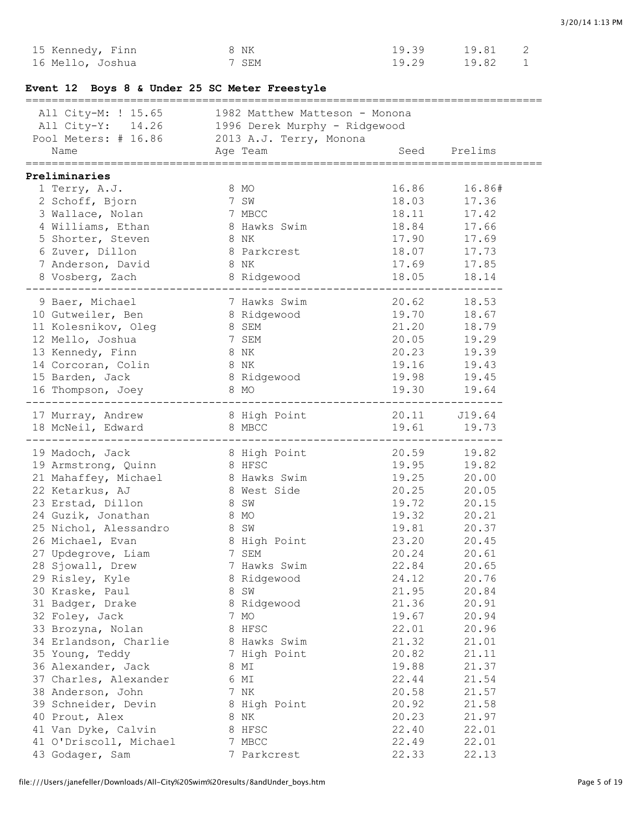| Event 12 Boys 8 & Under 25 SC Meter Freestyle |                                                                                                                                                       |              |                                    |
|-----------------------------------------------|-------------------------------------------------------------------------------------------------------------------------------------------------------|--------------|------------------------------------|
|                                               | All City-M: ! 15.65 1982 Matthew Matteson - Monona<br>All City-Y: 14.26 1996 Derek Murphy - Ridgewood<br>Pool Meters: # 16.86 2013 A.J. Terry, Monona |              |                                    |
|                                               |                                                                                                                                                       |              |                                    |
| Name                                          | Age Team                                                                                                                                              | Seed Prelims |                                    |
| Preliminaries                                 |                                                                                                                                                       |              |                                    |
| 1 Terry, A.J.                                 | 8 MO                                                                                                                                                  |              | 16.86 16.86#                       |
| 2 Schoff, Bjorn                               |                                                                                                                                                       | 18.03        | 17.36                              |
| 3 Wallace, Nolan                              |                                                                                                                                                       | 18.11        | 17.42                              |
| 4 Williams, Ethan                             | 7 SW<br>7 MBCC<br>8 Hawks Swim                                                                                                                        | 18.84        | 17.66                              |
| 5 Shorter, Steven                             | 8 NK                                                                                                                                                  | 17.90        | 17.69                              |
| 6 Zuver, Dillon                               | 8 Parkcrest                                                                                                                                           | 18.07        | 17.73                              |
| 7 Anderson, David                             | 8 NK                                                                                                                                                  | 17.69        | 17.85                              |
| 8 Vosberg, Zach                               | 8 Ridgewood                                                                                                                                           |              | 18.05 18.14                        |
| 9 Baer, Michael                               | 7 Hawks Swim                                                                                                                                          | 20.62 18.53  |                                    |
| 10 Gutweiler, Ben                             | 8 Ridgewood                                                                                                                                           |              | 19.70 18.67                        |
| 11 Kolesnikov, Oleg                           | 8 SEM                                                                                                                                                 | 21.20        | 18.79                              |
| 12 Mello, Joshua                              |                                                                                                                                                       | 20.05        |                                    |
| 13 Kennedy, Finn                              | 7 SEM<br>8 NK                                                                                                                                         | 20.23        | 19.29<br>19.39<br>10.43            |
| 14 Corcoran, Colin                            | 8 NK                                                                                                                                                  | 19.16        | 19.43                              |
| 15 Barden, Jack                               | 8 Ridgewood                                                                                                                                           | 19.98        |                                    |
| 16 Thompson, Joey                             | 8 MO                                                                                                                                                  |              | $19.30$<br>19.30 19.64<br>-------- |
|                                               |                                                                                                                                                       |              |                                    |
| 17 Murray, Andrew<br>18 McNeil, Edward        | 8 High Point 20.11 J19.64<br>8 MBCC                                                                                                                   | 19.61 19.73  |                                    |
|                                               |                                                                                                                                                       |              |                                    |
| 19 Madoch, Jack                               | 8 High Point                                                                                                                                          |              | 20.59 19.82                        |
| 19 Armstrong, Quinn                           | 8 HFSC                                                                                                                                                |              | 19.95 19.82                        |
| 21 Mahaffey, Michael                          | 8 Hawks Swim                                                                                                                                          | 19.25        |                                    |
| 22 Ketarkus, AJ                               | 8 West Side                                                                                                                                           | 20.25        | $20.00$<br>$20.05$                 |
| 23 Erstad, Dillon                             | 8 SW                                                                                                                                                  | 19.72        | 20.15                              |
| 24 Guzik, Jonathan                            | 8 MO                                                                                                                                                  | 19.32        | 20.21                              |
| 25 Nichol, Alessandro                         | 8 SW                                                                                                                                                  | 19.81        | $20.37$<br>$20.45$                 |
| 26 Michael, Evan                              | 8 High Point                                                                                                                                          | 23.20        | 20.45                              |
| 27 Updegrove, Liam                            | 7 SEM                                                                                                                                                 | 20.24        | 20.61                              |
| 28 Sjowall, Drew                              | 7 Hawks Swim                                                                                                                                          | 22.84        | 20.65                              |
| 29 Risley, Kyle                               | 8 Ridgewood                                                                                                                                           | 24.12        | 20.76                              |
| 30 Kraske, Paul                               | 8 SW                                                                                                                                                  | 21.95        | 20.84                              |
| 31 Badger, Drake                              | 8 Ridgewood                                                                                                                                           | 21.36        | 20.91                              |
| 32 Foley, Jack                                | 7<br>МO                                                                                                                                               | 19.67        | 20.94                              |
| 33 Brozyna, Nolan                             | 8 HFSC                                                                                                                                                | 22.01        | 20.96                              |
| 34 Erlandson, Charlie                         | 8 Hawks Swim                                                                                                                                          | 21.32        | 21.01                              |
| 35 Young, Teddy                               | 7 High Point                                                                                                                                          | 20.82        | 21.11                              |
| 36 Alexander, Jack                            | 8 MI                                                                                                                                                  | 19.88        | 21.37                              |
| 37 Charles, Alexander                         | 6 MI                                                                                                                                                  | 22.44        | 21.54                              |

38 Anderson, John 7 NK 20.58 21.57 39 Schneider, Devin 8 High Point 20.92 21.58 40 Prout, Alex 8 NK 20.23 21.97 41 Van Dyke, Calvin 8 HFSC 22.40 22.01 41 O'Driscoll, Michael 7 MBCC 22.49 22.01 43 Godager, Sam 7 Parkcrest 22.33 22.13

15 Kennedy, Finn 8 NK 19.39 19.81 2 16 Mello, Joshua 7 SEM 19.29 19.82 1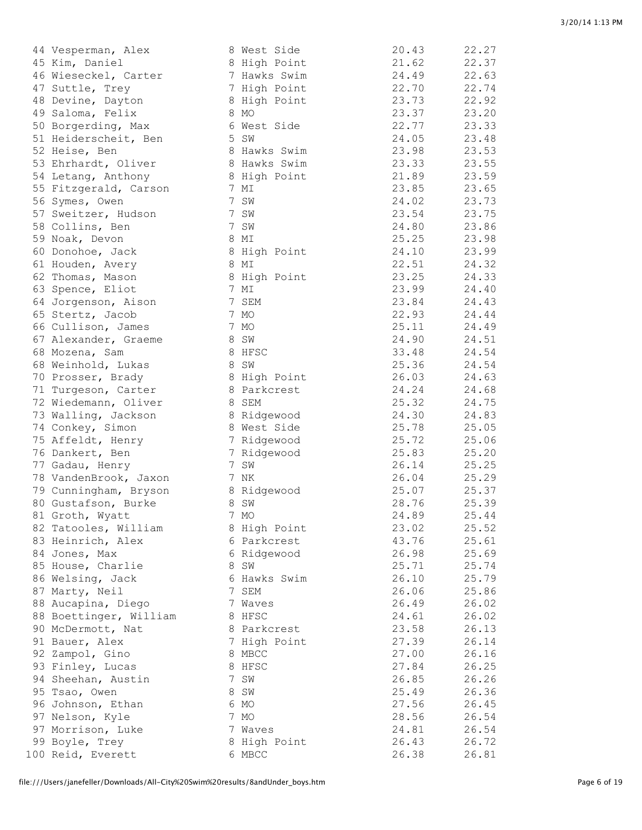| 44 Vesperman, Alex     | 8 West Side   | 20.43 | 22.27          |
|------------------------|---------------|-------|----------------|
| 45 Kim, Daniel         | 8 High Point  | 21.62 | 22.37          |
| 46 Wieseckel, Carter   | 7 Hawks Swim  | 24.49 | 22.63          |
| 47 Suttle, Trey        | 7 High Point  | 22.70 | 22.74          |
| 48 Devine, Dayton      | 8 High Point  | 23.73 | 22.92          |
| 49 Saloma, Felix       | 8 MO          | 23.37 | 23.20          |
| 50 Borgerding, Max     | 6 West Side   | 22.77 | 23.33          |
| 51 Heiderscheit, Ben   | 5 SW          | 24.05 | 23.48          |
| 52 Heise, Ben          | 8 Hawks Swim  | 23.98 | 23.53          |
| 53 Ehrhardt, Oliver    | 8 Hawks Swim  | 23.33 | 23.55          |
| 54 Letang, Anthony     | 8 High Point  | 21.89 | 23.59          |
| 55 Fitzgerald, Carson  | 7 MI          | 23.85 | 23.65          |
| 56 Symes, Owen         | 7 SW          | 24.02 | 23.73          |
| 57 Sweitzer, Hudson    | 7 SW          | 23.54 | 23.75          |
| 58 Collins, Ben        | 7 SW          | 24.80 | 23.86          |
| 59 Noak, Devon         | 8 MI          | 25.25 | 23.98          |
| 60 Donohoe, Jack       | 8 High Point  | 24.10 | 23.99          |
| 61 Houden, Avery       | 8 MI          | 22.51 | 24.32          |
| 62 Thomas, Mason       | 8 High Point  | 23.25 | 24.33          |
|                        | 7 MI          | 23.99 | 24.40          |
| 63 Spence, Eliot       |               | 23.84 |                |
| 64 Jorgenson, Aison    | 7 SEM<br>7 MO | 22.93 | 24.43<br>24.44 |
| 65 Stertz, Jacob       |               |       | 24.49          |
| 66 Cullison, James     | 7 MO          | 25.11 |                |
| 67 Alexander, Graeme   | 8 SW          | 24.90 | 24.51          |
| 68 Mozena, Sam         | 8 HFSC        | 33.48 | 24.54          |
| 68 Weinhold, Lukas     | 8 SW          | 25.36 | 24.54          |
| 70 Prosser, Brady      | 8 High Point  | 26.03 | 24.63          |
| 71 Turgeson, Carter    | 8 Parkcrest   | 24.24 | 24.68          |
| 72 Wiedemann, Oliver   | 8 SEM         | 25.32 | 24.75          |
| 73 Walling, Jackson    | 8 Ridgewood   | 24.30 | 24.83          |
| 74 Conkey, Simon       | 8 West Side   | 25.78 | 25.05          |
| 75 Affeldt, Henry      | 7 Ridgewood   | 25.72 | 25.06          |
| 76 Dankert, Ben        | 7 Ridgewood   | 25.83 | 25.20          |
| 77 Gadau, Henry        | 7 SW          | 26.14 | 25.25          |
| 78 VandenBrook, Jaxon  | 7 NK          | 26.04 | 25.29          |
| 79 Cunningham, Bryson  | 8 Ridgewood   | 25.07 | 25.37          |
| 80 Gustafson, Burke    | 8 SW          | 28.76 | 25.39          |
| 81 Groth, Wyatt        | 7 MO          | 24.89 | 25.44          |
| 82 Tatooles, William   | 8 High Point  | 23.02 | 25.52          |
| 83 Heinrich, Alex      | 6 Parkcrest   | 43.76 | 25.61          |
| 84 Jones, Max          | 6 Ridgewood   | 26.98 | 25.69          |
| 85 House, Charlie      | 8 SW          | 25.71 | 25.74          |
| 86 Welsing, Jack       | 6 Hawks Swim  | 26.10 | 25.79          |
| 87 Marty, Neil         | 7 SEM         | 26.06 | 25.86          |
| 88 Aucapina, Diego     | 7 Waves       | 26.49 | 26.02          |
| 88 Boettinger, William | 8 HFSC        | 24.61 | 26.02          |
| 90 McDermott, Nat      | 8 Parkcrest   | 23.58 | 26.13          |
| 91 Bauer, Alex         | 7 High Point  | 27.39 | 26.14          |
| 92 Zampol, Gino        | 8 MBCC        | 27.00 | 26.16          |
| 93 Finley, Lucas       | 8 HFSC        | 27.84 | 26.25          |
| 94 Sheehan, Austin     | 7 SW          | 26.85 | 26.26          |
| 95 Tsao, Owen          | 8 SW          | 25.49 | 26.36          |
| 96 Johnson, Ethan      | 6 MO          | 27.56 | 26.45          |
| 97 Nelson, Kyle        | 7 MO          | 28.56 | 26.54          |
| 97 Morrison, Luke      | 7 Waves       | 24.81 | 26.54          |
| 99 Boyle, Trey         | 8 High Point  | 26.43 | 26.72          |
| 100 Reid, Everett      | 6 MBCC        | 26.38 | 26.81          |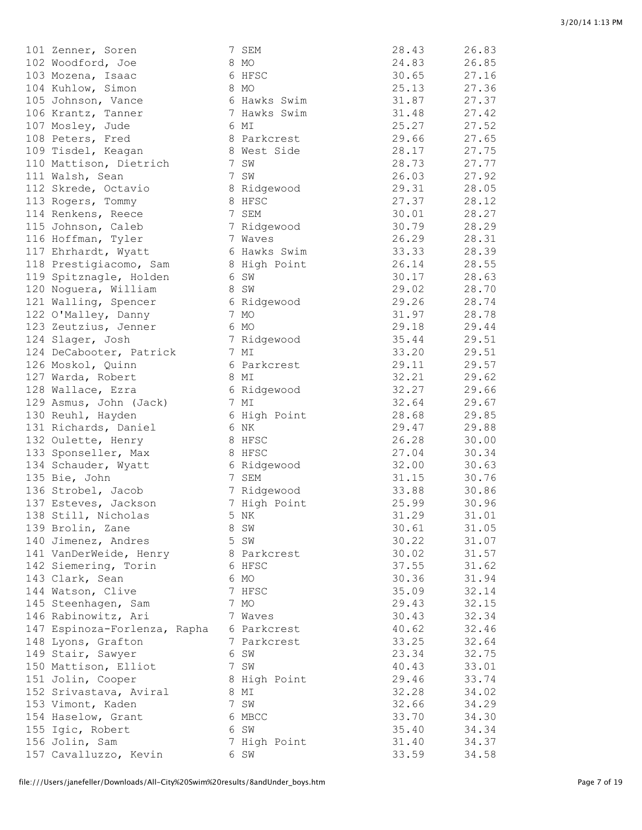| 101 Zenner, Soren            | 7 SEM        | 28.43 | 26.83 |
|------------------------------|--------------|-------|-------|
| 102 Woodford, Joe            | 8 MO         | 24.83 | 26.85 |
| 103 Mozena, Isaac            | 6 HFSC       | 30.65 | 27.16 |
| 104 Kuhlow, Simon            | 8 MO         | 25.13 | 27.36 |
| 105 Johnson, Vance           | 6 Hawks Swim | 31.87 | 27.37 |
| 106 Krantz, Tanner           | 7 Hawks Swim | 31.48 | 27.42 |
| 107 Mosley, Jude             | 6 MI         | 25.27 | 27.52 |
| 108 Peters, Fred             | 8 Parkcrest  | 29.66 | 27.65 |
| 109 Tisdel, Keagan           | 8 West Side  | 28.17 | 27.75 |
| 110 Mattison, Dietrich       | 7 SW         | 28.73 | 27.77 |
| 111 Walsh, Sean              | 7 SW         | 26.03 | 27.92 |
| 112 Skrede, Octavio          | 8 Ridgewood  | 29.31 | 28.05 |
| 113 Rogers, Tommy            | 8 HFSC       | 27.37 | 28.12 |
| 114 Renkens, Reece           | 7 SEM        | 30.01 | 28.27 |
| 115 Johnson, Caleb           | 7 Ridgewood  | 30.79 | 28.29 |
| 116 Hoffman, Tyler           | 7 Waves      | 26.29 | 28.31 |
| 117 Ehrhardt, Wyatt          | 6 Hawks Swim | 33.33 | 28.39 |
| 118 Prestigiacomo, Sam       | 8 High Point | 26.14 | 28.55 |
| 119 Spitznagle, Holden       | 6 SW         | 30.17 | 28.63 |
| 120 Noguera, William         | 8 SW         | 29.02 | 28.70 |
| 121 Walling, Spencer         | 6 Ridgewood  | 29.26 | 28.74 |
|                              | 7 MO         | 31.97 | 28.78 |
| 122 O'Malley, Danny          |              |       | 29.44 |
| 123 Zeutzius, Jenner         | 6 MO         | 29.18 |       |
| 124 Slager, Josh             | 7 Ridgewood  | 35.44 | 29.51 |
| 124 DeCabooter, Patrick      | 7 MI         | 33.20 | 29.51 |
| 126 Moskol, Quinn            | 6 Parkcrest  | 29.11 | 29.57 |
| 127 Warda, Robert            | 8 MI         | 32.21 | 29.62 |
| 128 Wallace, Ezra            | 6 Ridgewood  | 32.27 | 29.66 |
| 129 Asmus, John (Jack)       | 7 MI         | 32.64 | 29.67 |
| 130 Reuhl, Hayden            | 6 High Point | 28.68 | 29.85 |
| 131 Richards, Daniel         | 6 NK         | 29.47 | 29.88 |
| 132 Oulette, Henry           | 8 HFSC       | 26.28 | 30.00 |
| 133 Sponseller, Max          | 8 HFSC       | 27.04 | 30.34 |
| 134 Schauder, Wyatt          | 6 Ridgewood  | 32.00 | 30.63 |
| 135 Bie, John                | 7 SEM        | 31.15 | 30.76 |
| 136 Strobel, Jacob           | 7 Ridgewood  | 33.88 | 30.86 |
| 137 Esteves, Jackson         | 7 High Point | 25.99 | 30.96 |
| 138 Still, Nicholas          | 5 NK         | 31.29 | 31.01 |
| 139 Brolin, Zane             | 8 SW         | 30.61 | 31.05 |
| 140 Jimenez, Andres          | 5 SW         | 30.22 | 31.07 |
| 141 VanDerWeide, Henry       | 8 Parkcrest  | 30.02 | 31.57 |
| 142 Siemering, Torin         | 6 HFSC       | 37.55 | 31.62 |
| 143 Clark, Sean              | 6 MO         | 30.36 | 31.94 |
| 144 Watson, Clive            | 7 HFSC       | 35.09 | 32.14 |
| 145 Steenhagen, Sam          | 7 MO         | 29.43 | 32.15 |
| 146 Rabinowitz, Ari          | 7 Waves      | 30.43 | 32.34 |
| 147 Espinoza-Forlenza, Rapha | 6 Parkcrest  | 40.62 | 32.46 |
| 148 Lyons, Grafton           | 7 Parkcrest  | 33.25 | 32.64 |
| 149 Stair, Sawyer            | 6 SW         | 23.34 | 32.75 |
| 150 Mattison, Elliot         | 7 SW         | 40.43 | 33.01 |
| 151 Jolin, Cooper            | 8 High Point | 29.46 | 33.74 |
| 152 Srivastava, Aviral       | 8 MI         | 32.28 | 34.02 |
| 153 Vimont, Kaden            | 7 SW         | 32.66 | 34.29 |
| 154 Haselow, Grant           | 6 MBCC       | 33.70 | 34.30 |
| 155 Igic, Robert             | 6 SW         | 35.40 | 34.34 |
| 156 Jolin, Sam               | 7 High Point | 31.40 | 34.37 |
| 157 Cavalluzzo, Kevin        | 6 SW         | 33.59 | 34.58 |
|                              |              |       |       |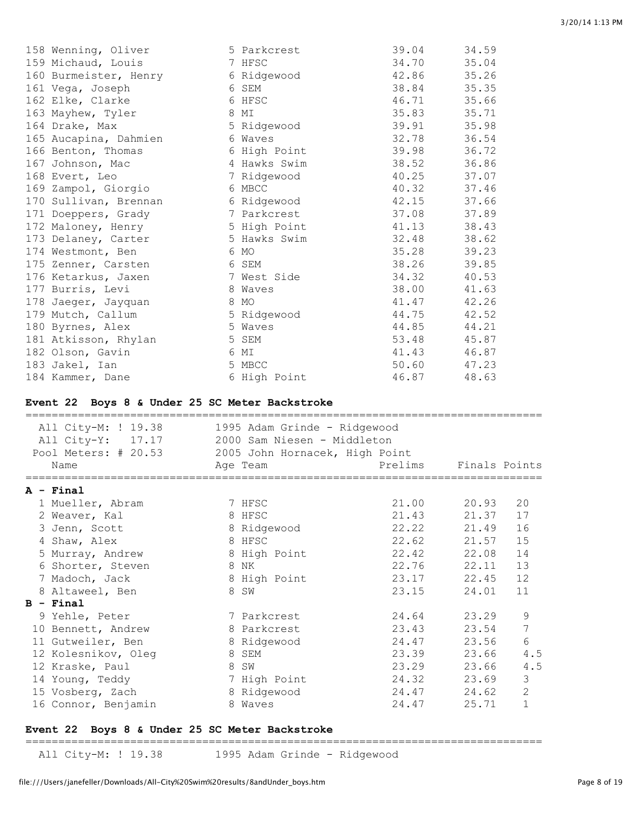| 158 Wenning, Oliver   | 5 Parkcrest  | 39.04 | 34.59 |
|-----------------------|--------------|-------|-------|
| 159 Michaud, Louis    | 7 HFSC       | 34.70 | 35.04 |
| 160 Burmeister, Henry | 6 Ridgewood  | 42.86 | 35.26 |
| 161 Vega, Joseph      | 6 SEM        | 38.84 | 35.35 |
| 162 Elke, Clarke      | 6 HFSC       | 46.71 | 35.66 |
| 163 Mayhew, Tyler     | 8 MI         | 35.83 | 35.71 |
| 164 Drake, Max        | 5 Ridgewood  | 39.91 | 35.98 |
| 165 Aucapina, Dahmien | 6 Waves      | 32.78 | 36.54 |
| 166 Benton, Thomas    | 6 High Point | 39.98 | 36.72 |
| 167 Johnson, Mac      | 4 Hawks Swim | 38.52 | 36.86 |
| 168 Evert, Leo        | 7 Ridgewood  | 40.25 | 37.07 |
| 169 Zampol, Giorgio   | 6 MBCC       | 40.32 | 37.46 |
| 170 Sullivan, Brennan | 6 Ridgewood  | 42.15 | 37.66 |
| 171 Doeppers, Grady   | 7 Parkcrest  | 37.08 | 37.89 |
| 172 Maloney, Henry    | 5 High Point | 41.13 | 38.43 |
| 173 Delaney, Carter   | 5 Hawks Swim | 32.48 | 38.62 |
| 174 Westmont, Ben     | 6 MO         | 35.28 | 39.23 |
| 175 Zenner, Carsten   | 6 SEM        | 38.26 | 39.85 |
| 176 Ketarkus, Jaxen   | 7 West Side  | 34.32 | 40.53 |
| 177 Burris, Levi      | 8 Waves      | 38.00 | 41.63 |
| 178 Jaeger, Jayquan   | 8 MO         | 41.47 | 42.26 |
| 179 Mutch, Callum     | 5 Ridgewood  | 44.75 | 42.52 |
| 180 Byrnes, Alex      | 5 Waves      | 44.85 | 44.21 |
| 181 Atkisson, Rhylan  | 5 SEM        | 53.48 | 45.87 |
| 182 Olson, Gavin      | 6 MI         | 41.43 | 46.87 |
| 183 Jakel, Ian        | 5 MBCC       | 50.60 | 47.23 |
| 184 Kammer, Dane      | 6 High Point | 46.87 | 48.63 |

## **Event 22 Boys 8 & Under 25 SC Meter Backstroke**

| All City-M: ! 19.38<br>All City-Y: 17.17<br>Pool Meters: # 20.53 | 1995 Adam Grinde - Ridgewood<br>2000 Sam Niesen - Middleton<br>2005 John Hornacek, High Point |             |               |                |
|------------------------------------------------------------------|-----------------------------------------------------------------------------------------------|-------------|---------------|----------------|
| Name                                                             | Age Team                                                                                      | Prelims     | Finals Points |                |
| A - Final                                                        |                                                                                               |             |               |                |
| 1 Mueller, Abram                                                 | 7 HFSC                                                                                        | 21.00       | 20.93         | 20             |
| 2 Weaver, Kal                                                    | 8 HFSC                                                                                        | 21.43       | 21.37         | 17             |
| 3 Jenn, Scott                                                    | 8 Ridgewood                                                                                   | 22.22 21.49 |               | 16             |
| 4 Shaw, Alex                                                     | 8 HFSC                                                                                        | 22.62       | 21.57         | 15             |
| 5 Murray, Andrew                                                 | 8 High Point                                                                                  | 22.42 22.08 |               | 14             |
| 6 Shorter, Steven                                                | 8 NK                                                                                          | 22.76       | 22.11         | 13             |
| 7 Madoch, Jack                                                   | 8 High Point                                                                                  | 23.17       | 22.45         | 12             |
| 8 Altaweel, Ben                                                  | 8 SW                                                                                          | 23.15       | 24.01         | 11             |
| $B - Final$                                                      |                                                                                               |             |               |                |
| 9 Yehle, Peter                                                   | 7 Parkcrest                                                                                   | 24.64       | 23.29         | 9              |
| 10 Bennett, Andrew                                               | 8 Parkcrest                                                                                   | 23.43       | 23.54         | 7              |
| 11 Gutweiler, Ben                                                | 8 Ridgewood                                                                                   | 24.47       | 23.56         | 6              |
| 12 Kolesnikov, Oleg                                              | 8 SEM                                                                                         | 23.39       | 23.66         | 4.5            |
| 12 Kraske, Paul                                                  | 8 SW                                                                                          | 23.29       | 23.66         | 4.5            |
| 14 Young, Teddy                                                  | 7 High Point                                                                                  | 24.32 23.69 |               | 3              |
| 15 Vosberg, Zach                                                 | 8 Ridgewood                                                                                   | 24.47 24.62 |               | $\overline{2}$ |
| 16 Connor, Benjamin                                              | 8 Waves                                                                                       | 24.47       | 25.71         | $\mathbf{1}$   |

# **Event 22 Boys 8 & Under 25 SC Meter Backstroke**

===============================================================================

All City-M: ! 19.38 1995 Adam Grinde - Ridgewood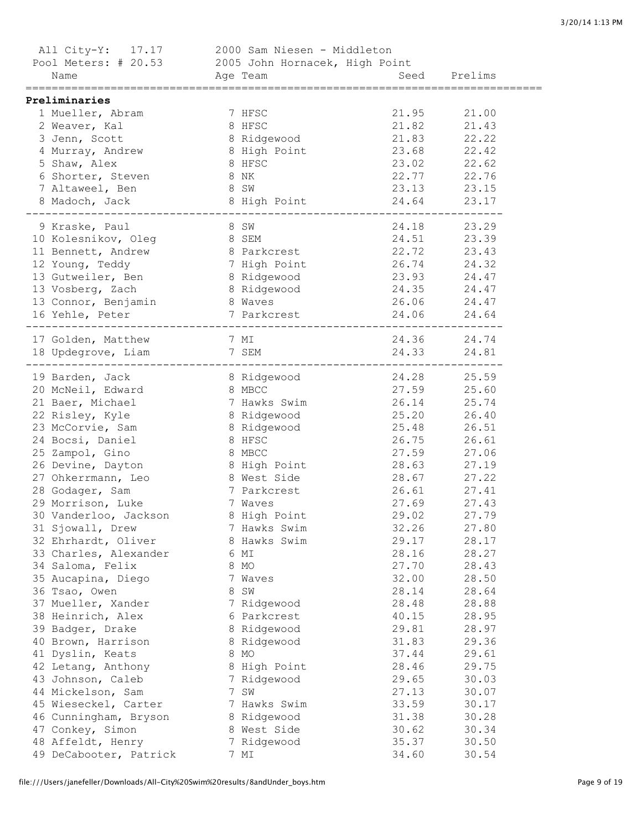| All City-Y: 17.17                                   | 2000 Sam Niesen - Middleton |       |              |  |
|-----------------------------------------------------|-----------------------------|-------|--------------|--|
| Pool Meters: # 20.53 2005 John Hornacek, High Point |                             |       |              |  |
| Name                                                | Age Team                    |       | Seed Prelims |  |
| Preliminaries                                       |                             |       |              |  |
| 1 Mueller, Abram                                    | 7 HFSC                      | 21.95 | 21.00        |  |
| 2 Weaver, Kal                                       | 8 HFSC                      | 21.82 | 21.43        |  |
| 3 Jenn, Scott                                       | 8 Ridgewood                 | 21.83 | 22.22        |  |
| 4 Murray, Andrew                                    | 8 High Point                | 23.68 | 22.42        |  |
| 5 Shaw, Alex                                        | 8 HFSC                      | 23.02 | 22.62        |  |
| 6 Shorter, Steven                                   | 8 NK                        | 22.77 | 22.76        |  |
| 7 Altaweel, Ben                                     | 8 SW                        | 23.13 | 23.15        |  |
| 8 Madoch, Jack                                      | 8 High Point 24.64          |       | 23.17        |  |
| 9 Kraske, Paul                                      | 8 SW                        | 24.18 | 23.29        |  |
| 10 Kolesnikov, Oleg                                 | 8 SEM                       | 24.51 | 23.39        |  |
| 11 Bennett, Andrew                                  | 8 Parkcrest                 | 22.72 | 23.43        |  |
| 12 Young, Teddy                                     | 7 High Point                | 26.74 | 24.32        |  |
| 13 Gutweiler, Ben                                   | 8 Ridgewood                 | 23.93 | 24.47        |  |
| 13 Vosberg, Zach                                    | 8 Ridgewood                 | 24.35 | 24.47        |  |
| 13 Connor, Benjamin                                 | 8 Waves                     | 26.06 | 24.47        |  |
| 16 Yehle, Peter                                     | 7 Parkcrest                 | 24.06 | 24.64        |  |
| 17 Golden, Matthew                                  | 7 MI                        |       | 24.36 24.74  |  |
| 18 Updegrove, Liam                                  | 7 SEM                       | 24.33 | 24.81        |  |
| 19 Barden, Jack                                     | 8 Ridgewood                 |       | 24.28 25.59  |  |
| 20 McNeil, Edward                                   | 8 MBCC                      | 27.59 | 25.60        |  |
| 21 Baer, Michael                                    | 7 Hawks Swim                | 26.14 | 25.74        |  |
| 22 Risley, Kyle                                     | 8 Ridgewood                 | 25.20 | 26.40        |  |
| 23 McCorvie, Sam                                    | 8 Ridgewood                 | 25.48 | 26.51        |  |
| 24 Bocsi, Daniel                                    | 8 HFSC                      | 26.75 | 26.61        |  |
| 25 Zampol, Gino                                     | 8 MBCC                      | 27.59 | 27.06        |  |
| 26 Devine, Dayton                                   | 8 High Point                | 28.63 | 27.19        |  |
| 27 Ohkerrmann, Leo                                  | 8 West Side                 | 28.67 | 27.22        |  |
| 28 Godager, Sam                                     | 7 Parkcrest                 | 26.61 | 27.41        |  |
| 29 Morrison, Luke                                   | 7 Waves                     | 27.69 | 27.43        |  |
| 30 Vanderloo, Jackson                               | 8 High Point                | 29.02 | 27.79        |  |
| 31 Sjowall, Drew                                    | 7 Hawks Swim                | 32.26 | 27.80        |  |
| 32 Ehrhardt, Oliver                                 | 8 Hawks Swim                | 29.17 | 28.17        |  |
| 33 Charles, Alexander                               | 6 MI                        | 28.16 | 28.27        |  |
| 34 Saloma, Felix                                    | 8 MO                        | 27.70 | 28.43        |  |
| 35 Aucapina, Diego                                  | 7 Waves                     | 32.00 | 28.50        |  |
| 36 Tsao, Owen                                       | 8 SW                        | 28.14 | 28.64        |  |
| 37 Mueller, Xander                                  | 7 Ridgewood                 | 28.48 | 28.88        |  |
| 38 Heinrich, Alex                                   | 6 Parkcrest                 | 40.15 | 28.95        |  |
| 39 Badger, Drake                                    | 8 Ridgewood                 | 29.81 | 28.97        |  |
| 40 Brown, Harrison                                  | 8 Ridgewood                 | 31.83 | 29.36        |  |
| 41 Dyslin, Keats                                    | 8 MO                        | 37.44 | 29.61        |  |
| 42 Letang, Anthony                                  | 8 High Point                | 28.46 | 29.75        |  |
| 43 Johnson, Caleb                                   | 7 Ridgewood                 | 29.65 | 30.03        |  |
| 44 Mickelson, Sam                                   | 7 SW                        | 27.13 | 30.07        |  |
| 45 Wieseckel, Carter                                | 7 Hawks Swim                | 33.59 | 30.17        |  |
| 46 Cunningham, Bryson                               | 8 Ridgewood                 | 31.38 | 30.28        |  |
| 47 Conkey, Simon                                    | 8 West Side                 | 30.62 | 30.34        |  |
| 48 Affeldt, Henry                                   | 7 Ridgewood                 | 35.37 | 30.50        |  |
| 49 DeCabooter, Patrick                              | 7 MI                        | 34.60 | 30.54        |  |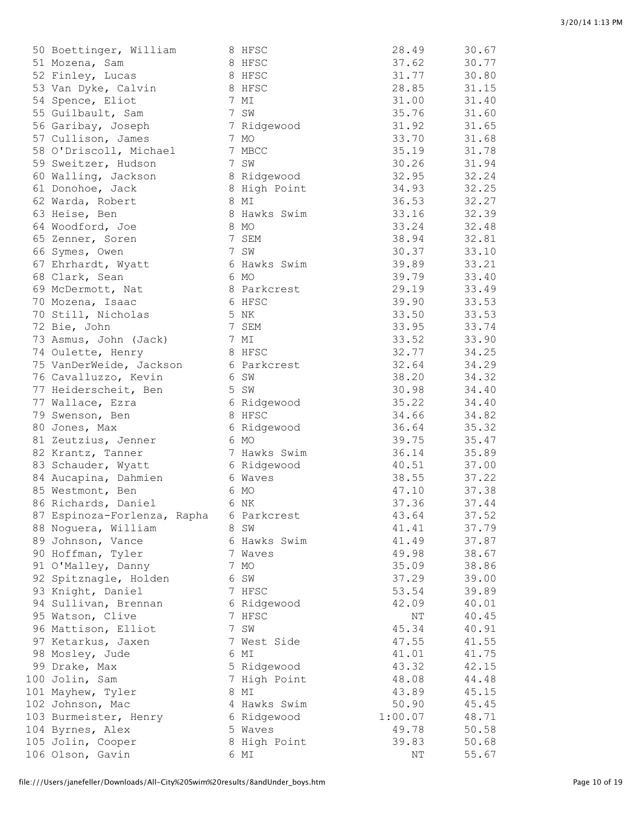| 50 Boettinger, William                  | 8 HFSC       | 28.49   | 30.67 |
|-----------------------------------------|--------------|---------|-------|
| 51 Mozena, Sam                          | 8 HFSC       | 37.62   | 30.77 |
| 52 Finley, Lucas                        | 8 HFSC       | 31.77   | 30.80 |
| 53 Van Dyke, Calvin                     | 8 HFSC       | 28.85   | 31.15 |
| 54 Spence, Eliot                        | 7 MI         | 31.00   | 31.40 |
| 55 Guilbault, Sam                       | 7 SW         | 35.76   | 31.60 |
| 56 Garibay, Joseph                      | 7 Ridgewood  | 31.92   | 31.65 |
| 57 Cullison, James                      | 7 MO         | 33.70   | 31.68 |
| 58 O'Driscoll, Michael                  | 7 MBCC       | 35.19   | 31.78 |
| 59 Sweitzer, Hudson                     | 7 SW         | 30.26   | 31.94 |
| 60 Walling, Jackson                     | 8 Ridgewood  | 32.95   | 32.24 |
| 61 Donohoe, Jack                        | 8 High Point | 34.93   | 32.25 |
| 62 Warda, Robert                        | 8 MI         | 36.53   | 32.27 |
| 63 Heise, Ben                           | 8 Hawks Swim | 33.16   | 32.39 |
| 64 Woodford, Joe                        | 8 MO         | 33.24   | 32.48 |
| 65 Zenner, Soren                        | 7 SEM        | 38.94   | 32.81 |
| 66 Symes, Owen                          | 7 SW         | 30.37   | 33.10 |
| 67 Ehrhardt, Wyatt                      | 6 Hawks Swim | 39.89   | 33.21 |
| 68 Clark, Sean                          | 6 MO         | 39.79   | 33.40 |
|                                         |              | 29.19   | 33.49 |
| 69 McDermott, Nat                       | 8 Parkcrest  |         |       |
| 70 Mozena, Isaac                        | 6 HFSC       | 39.90   | 33.53 |
| 70 Still, Nicholas                      | 5 NK         | 33.50   | 33.53 |
| 72 Bie, John                            | 7 SEM        | 33.95   | 33.74 |
| 73 Asmus, John (Jack)                   | 7 MI         | 33.52   | 33.90 |
| 74 Oulette, Henry                       | 8 HFSC       | 32.77   | 34.25 |
| 75 VanDerWeide, Jackson                 | 6 Parkcrest  | 32.64   | 34.29 |
| 76 Cavalluzzo, Kevin                    | 6 SW         | 38.20   | 34.32 |
| 77 Heiderscheit, Ben                    | 5 SW         | 30.98   | 34.40 |
| 77 Wallace, Ezra                        | 6 Ridgewood  | 35.22   | 34.40 |
| 79 Swenson, Ben                         | 8 HFSC       | 34.66   | 34.82 |
| 80 Jones, Max                           | 6 Ridgewood  | 36.64   | 35.32 |
| 81 Zeutzius, Jenner                     | 6 MO         | 39.75   | 35.47 |
| 82 Krantz, Tanner                       | 7 Hawks Swim | 36.14   | 35.89 |
| 83 Schauder, Wyatt                      | 6 Ridgewood  | 40.51   | 37.00 |
| 84 Aucapina, Dahmien                    | 6 Waves      | 38.55   | 37.22 |
| 85 Westmont, Ben                        | 6 MO         | 47.10   | 37.38 |
| 86 Richards, Daniel                     | 6 NK         | 37.36   | 37.44 |
| 87 Espinoza-Forlenza, Rapha 6 Parkcrest |              | 43.64   | 37.52 |
| 88 Noguera, William                     | 8 SW         | 41.41   | 37.79 |
| 89 Johnson, Vance                       | 6 Hawks Swim | 41.49   | 37.87 |
| 90 Hoffman, Tyler                       | 7 Waves      | 49.98   | 38.67 |
| 91 O'Malley, Danny                      | 7 MO         | 35.09   | 38.86 |
| 92 Spitznagle, Holden                   | 6 SW         | 37.29   | 39.00 |
| 93 Knight, Daniel                       | 7 HFSC       | 53.54   | 39.89 |
| 94 Sullivan, Brennan                    | 6 Ridgewood  | 42.09   | 40.01 |
| 95 Watson, Clive                        | 7 HFSC       | ΝT      | 40.45 |
| 96 Mattison, Elliot                     | 7 SW         | 45.34   | 40.91 |
| 97 Ketarkus, Jaxen                      | 7 West Side  | 47.55   | 41.55 |
| 98 Mosley, Jude                         | 6 MI         | 41.01   | 41.75 |
| 99 Drake, Max                           | 5 Ridgewood  | 43.32   | 42.15 |
| 100 Jolin, Sam                          | 7 High Point | 48.08   | 44.48 |
| 101 Mayhew, Tyler                       | 8 MI         | 43.89   | 45.15 |
| 102 Johnson, Mac                        | 4 Hawks Swim | 50.90   | 45.45 |
| 103 Burmeister, Henry                   | 6 Ridgewood  | 1:00.07 | 48.71 |
| 104 Byrnes, Alex                        | 5 Waves      | 49.78   | 50.58 |
| 105 Jolin, Cooper                       | 8 High Point | 39.83   | 50.68 |
| 106 Olson, Gavin                        | 6 MI         | NΤ      | 55.67 |
|                                         |              |         |       |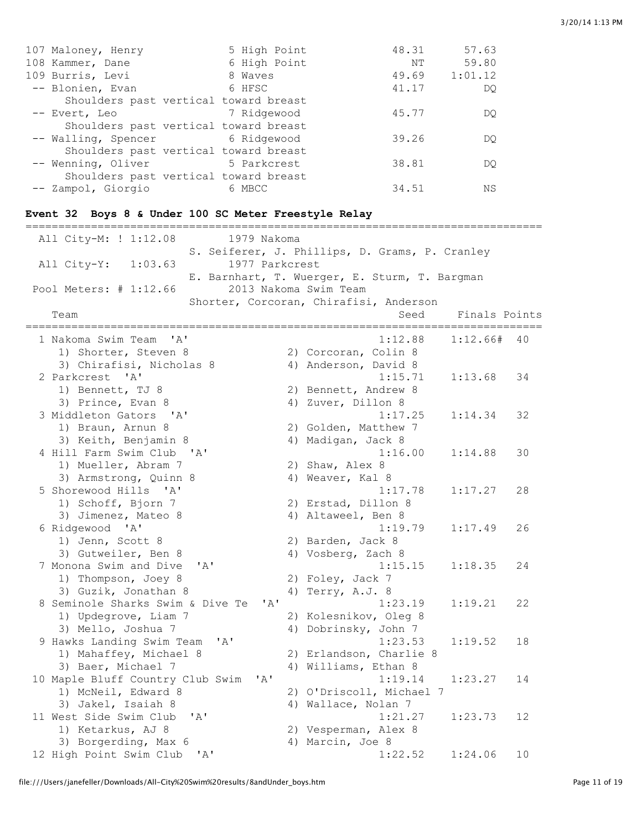| 107 Maloney, Henry | 5 High Point | 48.31                                                                                                                                                                                                                                                | 57.63   |
|--------------------|--------------|------------------------------------------------------------------------------------------------------------------------------------------------------------------------------------------------------------------------------------------------------|---------|
| 108 Kammer, Dane   | 6 High Point | NΤ                                                                                                                                                                                                                                                   | 59.80   |
| 109 Burris, Levi   | 8 Waves      | 49.69                                                                                                                                                                                                                                                | 1:01.12 |
| -- Blonien, Evan   | 6 HFSC       | 41.17                                                                                                                                                                                                                                                | DO      |
|                    |              |                                                                                                                                                                                                                                                      |         |
| -- Evert, Leo      |              | 45.77                                                                                                                                                                                                                                                | DO      |
|                    |              |                                                                                                                                                                                                                                                      |         |
|                    |              | 39.26                                                                                                                                                                                                                                                | DO      |
|                    |              |                                                                                                                                                                                                                                                      |         |
|                    |              | 38.81                                                                                                                                                                                                                                                | DO      |
|                    |              |                                                                                                                                                                                                                                                      |         |
| -- Zampol, Giorgio | 6 MBCC       | 34.51                                                                                                                                                                                                                                                | ΝS      |
|                    |              | Shoulders past vertical toward breast<br>7 Ridgewood<br>Shoulders past vertical toward breast<br>-- Walling, Spencer 6 Ridgewood<br>Shoulders past vertical toward breast<br>-- Wenning, Oliver 5 Parkcrest<br>Shoulders past vertical toward breast |         |

# **Event 32 Boys 8 & Under 100 SC Meter Freestyle Relay**

| All City-M: ! 1:12.08<br>1979 Nakoma            |                                                |  |
|-------------------------------------------------|------------------------------------------------|--|
|                                                 | S. Seiferer, J. Phillips, D. Grams, P. Cranley |  |
| 1977 Parkcrest<br>All City-Y:<br>1:03.63        |                                                |  |
|                                                 | E. Barnhart, T. Wuerger, E. Sturm, T. Bargman  |  |
| Pool Meters: # 1:12.66                          | 2013 Nakoma Swim Team                          |  |
|                                                 | Shorter, Corcoran, Chirafisi, Anderson         |  |
| Team                                            | Finals Points<br>Seed                          |  |
|                                                 |                                                |  |
| 1 Nakoma Swim Team<br>' A'                      | 1:12.88<br>1:12.66#<br>40                      |  |
| 1) Shorter, Steven 8                            | 2) Corcoran, Colin 8                           |  |
| 3) Chirafisi, Nicholas 8                        | 4) Anderson, David 8                           |  |
| 2 Parkcrest 'A'                                 | 1:15.71<br>1:13.68<br>34                       |  |
| 1) Bennett, TJ 8                                | 2) Bennett, Andrew 8                           |  |
| 3) Prince, Evan 8                               | 4) Zuver, Dillon 8                             |  |
| 3 Middleton Gators<br>$^{\prime}$ A $^{\prime}$ | 1:17.25<br>1:14.34<br>32                       |  |
| 1) Braun, Arnun 8                               | 2) Golden, Matthew 7                           |  |
| 3) Keith, Benjamin 8                            | 4) Madigan, Jack 8                             |  |
| 4 Hill Farm Swim Club 'A'                       | 1:16.00<br>1:14.88<br>30                       |  |
| 1) Mueller, Abram 7                             | 2) Shaw, Alex 8                                |  |
| 3) Armstrong, Quinn 8                           | 4) Weaver, Kal 8                               |  |
| 5 Shorewood Hills 'A'                           | 1:17.27<br>1:17.78<br>28                       |  |
| 1) Schoff, Bjorn 7                              | 2) Erstad, Dillon 8                            |  |
| 3) Jimenez, Mateo 8                             | 4) Altaweel, Ben 8                             |  |
| 6 Ridgewood 'A'                                 | 1:19.79<br>1:17.49<br>26                       |  |
| 1) Jenn, Scott 8                                | 2) Barden, Jack 8                              |  |
| 3) Gutweiler, Ben 8                             | 4) Vosberg, Zach 8                             |  |
| 7 Monona Swim and Dive<br>$\overline{A}$        | 1:15.15<br>1:18.35<br>24                       |  |
| 1) Thompson, Joey 8                             | 2) Foley, Jack 7                               |  |
| 3) Guzik, Jonathan 8                            | Terry, A.J. 8<br>4)                            |  |
| 8 Seminole Sharks Swim & Dive Te<br>' A'        | 1:23.19<br>1:19.21<br>22                       |  |
| 1) Updegrove, Liam 7                            | 2) Kolesnikov, Oleg 8                          |  |
| 3) Mello, Joshua 7                              | 4) Dobrinsky, John 7                           |  |
| 9 Hawks Landing Swim Team 'A'                   | 1:23.53<br>1:19.52<br>18                       |  |
| 1) Mahaffey, Michael 8                          | 2) Erlandson, Charlie 8                        |  |
| 3) Baer, Michael 7                              | 4) Williams, Ethan 8                           |  |
| 10 Maple Bluff Country Club Swim<br>' A'        | 1:19.14<br>1:23.27<br>14                       |  |
| 1) McNeil, Edward 8                             | 2) O'Driscoll, Michael 7                       |  |
| 3) Jakel, Isaiah 8                              | 4) Wallace, Nolan 7                            |  |
| 11 West Side Swim Club<br>' A'                  | 1:21.27<br>1:23.73<br>12                       |  |
| 1) Ketarkus, AJ 8                               | 2) Vesperman, Alex 8                           |  |
| 3) Borgerding, Max 6                            | 4) Marcin, Joe 8                               |  |
| 12 High Point Swim Club<br>' A'                 | 1:22.52<br>1:24.06<br>10                       |  |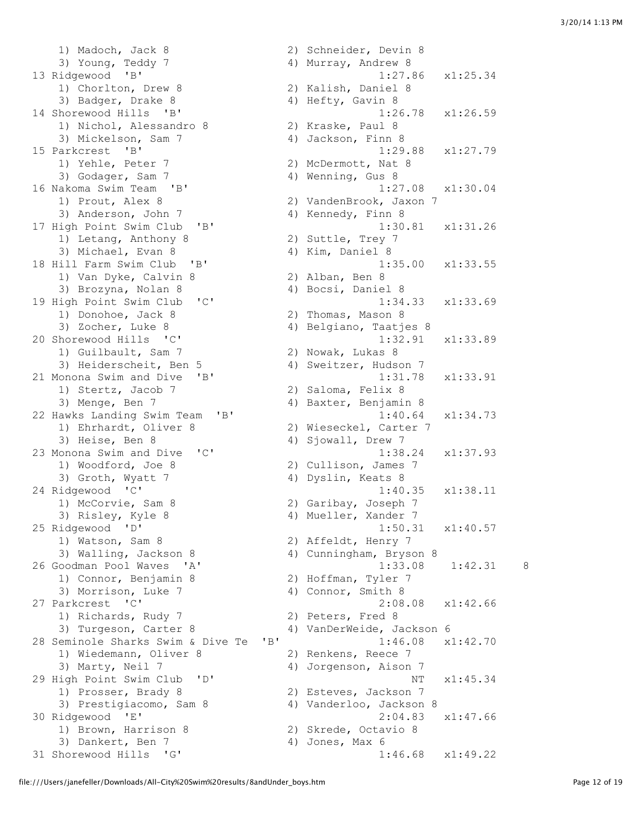1) Madoch, Jack 8 2) Schneider, Devin 8 3) Young, Teddy 7 (4) Murray, Andrew 8 13 Ridgewood 'B' 1:27.86 x1:25.34 1) Chorlton, Drew 8 2) Kalish, Daniel 8 3) Badger, Drake 8 4) Hefty, Gavin 8 14 Shorewood Hills 'B' 1:26.78 x1:26.59 1) Nichol, Alessandro 8 2) Kraske, Paul 8 3) Mickelson, Sam 7 4) Jackson, Finn 8 15 Parkcrest 'B' 1:29.88 x1:27.79 1) Yehle, Peter 7 2) McDermott, Nat 8 3) Godager, Sam 7 (and 4) Wenning, Gus 8 16 Nakoma Swim Team 'B' 1:27.08 x1:30.04 1) Prout, Alex 8 2) VandenBrook, Jaxon 7 3) Anderson, John 7 4) Kennedy, Finn 8 17 High Point Swim Club 'B' 1:30.81 x1:31.26 1) Letang, Anthony 8 2) Suttle, Trey 7 3) Michael, Evan 8 4) Kim, Daniel 8 18 Hill Farm Swim Club 'B' 1:35.00 x1:33.55<br>1) Van Dyke, Calvin 8 2) Alban, Ben 8 1) Van Dyke, Calvin 8 3) Brozyna, Nolan 8 4) Bocsi, Daniel 8 19 High Point Swim Club 'C' 1:34.33 x1:33.69 1) Donohoe, Jack 8 2) Thomas, Mason 8 3) Zocher, Luke 8 4) Belgiano, Taatjes 8 20 Shorewood Hills 'C' 1:32.91 x1:33.89 1.52<br>1) Guilbault, Sam 7 2) Nowak, Lukas 8 3) Heiderscheit, Ben 5 (2) Sweitzer, Hudson 7 21 Monona Swim and Dive 'B' 1:31.78 x1:33.91 1) Stertz, Jacob 7 2) Saloma, Felix 8 3) Menge, Ben 7 4) Baxter, Benjamin 8 22 Hawks Landing Swim Team 'B' 1:40.64 x1:34.73<br>1) Ehrhardt, Oliver 8 2) Wieseckel, Carter 7 1) Ehrhardt, Oliver 8 2) Wieseckel, Carter 7 3) Heise, Ben 8 4) Sjowall, Drew 7 23 Monona Swim and Dive 'C' 1:38.24 x1:37.93 1) Woodford, Joe 8 2) Cullison, James 7 3) Groth, Wyatt 7 (4) Dyslin, Keats 8 24 Ridgewood 'C' 1:40.35 x1:38.11 1) McCorvie, Sam 8 2) Garibay, Joseph 7 3) Risley, Kyle 8 4) Mueller, Xander 7 25 Ridgewood 'D' 1:50.31 x1:40.57 1) Watson, Sam 8 2) Affeldt, Henry 7 3) Walling, Jackson 8 4) Cunningham, Bryson 8 26 Goodman Pool Waves 'A' 1:33.08 1:42.31 8 1) Connor, Benjamin 8 2) Hoffman, Tyler 7 3) Morrison, Luke 7 4) Connor, Smith 8 27 Parkcrest 'C' 2:08.08 x1:42.66 1) Richards, Rudy 7 2) Peters, Fred 8 3) Turgeson, Carter 8 4) VanDerWeide, Jackson 6 28 Seminole Sharks Swim & Dive Te 'B' 1:46.08 x1:42.70 1) Wiedemann, Oliver 8 2) Renkens, Reece 7 3) Marty, Neil 7 4) Jorgenson, Aison 7 29 High Point Swim Club 'D' NT x1:45.34 1) Prosser, Brady 8 2) Esteves, Jackson 7 3) Prestigiacomo, Sam 8 4) Vanderloo, Jackson 8 30 Ridgewood 'E' 2:04.83 x1:47.66 1) Brown, Harrison 8 2) Skrede, Octavio 8 3) Dankert, Ben 7 (4) Jones, Max 6 31 Shorewood Hills 'G' 1:46.68 x1:49.22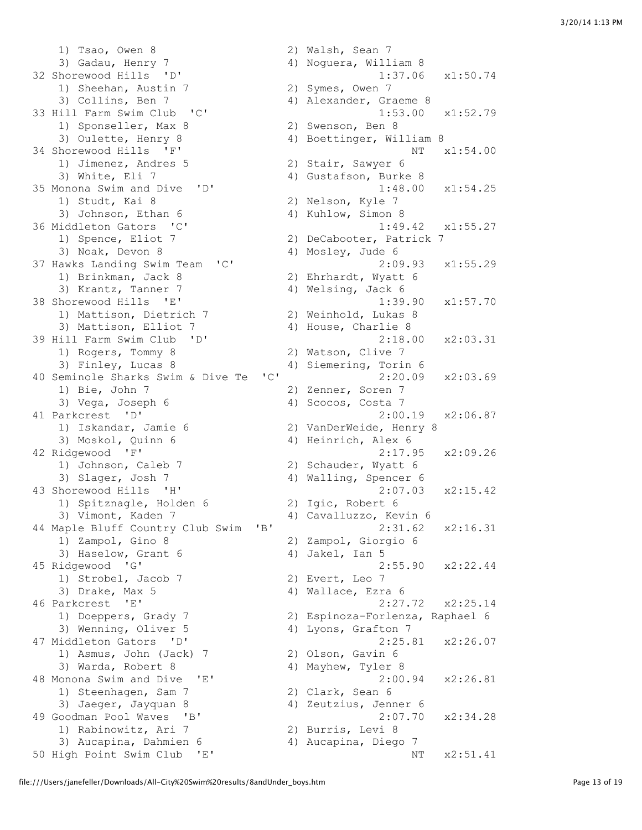1) Tsao, Owen 8 2) Walsh, Sean 7 3) Gadau, Henry 7 4) Noguera, William 8 32 Shorewood Hills 'D' 1:37.06 x1:50.74<br>1) Sheehan, Austin 7 2) Symes, Owen 7 101010000 11111-1<br>1) Sheehan, Austin 7 3) Collins, Ben 7 4) Alexander, Graeme 8 33 Hill Farm Swim Club 'C' 1:53.00 x1:52.79 1) Sponseller, Max 8 2) Swenson, Ben 8 3) Oulette, Henry 8 4) Boettinger, William 8 34 Shorewood Hills 'F' NT  $x1:54.00$ 1) Jimenez, Andres 5 2) Stair, Sawyer 6 3) White, Eli 7 4) Gustafson, Burke 8 35 Monona Swim and Dive 'D' 1:48.00 x1:54.25 1) Studt, Kai 8 2) Nelson, Kyle 7 3) Johnson, Ethan 6 4) Kuhlow, Simon 8 36 Middleton Gators 'C' 1:49.42 x1:55.27 1) Spence, Eliot 7 2) DeCabooter, Patrick 7 3) Noak, Devon 8 4) Mosley, Jude 6 37 Hawks Landing Swim Team 'C' 2:09.93 x1:55.29 1) Brinkman, Jack 8 2) Ehrhardt, Wyatt 6 3) Krantz, Tanner 7 (and 4) Welsing, Jack 6 38 Shorewood Hills 'E' 1:39.90 x1:57.70 1) Mattison, Dietrich 7 2) Weinhold, Lukas 8 3) Mattison, Elliot 7 (4) House, Charlie 8 39 Hill Farm Swim Club 'D' 2:18.00 x2:03.31 1) Rogers, Tommy 8 2) Watson, Clive 7<br>
3) Finley, Lucas 8 4) Siemering, Torin 40 Seminole Sharks Swim & Dive Te 'C' 2:20.09 x2:03.69 1) Bie, John 7 2) Zenner, Soren 7 3) Vega, Joseph 6 4) Scocos, Costa 7 41 Parkcrest 'D' 2:00.19 x2:06.87 1) Iskandar, Jamie 6 2) VanDerWeide, Henry 8 3) Moskol, Quinn 6 4) Heinrich, Alex 6 42 Ridgewood 'F' 2:17.95 x2:09.26 1) Johnson, Caleb 7 2) Schauder, Wyatt 6 3) Slager, Josh 7 4) Walling, Spencer 6 43 Shorewood Hills 'H' 2:07.03 x2:15.42 1) Spitznagle, Holden 6 2) Igic, Robert 6 3) Vimont, Kaden 7 4) Cavalluzzo, Kevin 6 44 Maple Bluff Country Club Swim 'B' 2:31.62 x2:16.31 1) Zampol, Gino 8 2) Zampol, Giorgio 6 3) Haselow, Grant 6 4) Jakel, Ian 5 45 Ridgewood 'G' 2:55.90 x2:22.44 1) Strobel, Jacob 7 2) Evert, Leo 7 3) Drake, Max 5 4) Wallace, Ezra 6 46 Parkcrest 'E' 2:27.72 x2:25.14 1) Doeppers, Grady 7 2) Espinoza-Forlenza, Raphael 6 3) Wenning, Oliver 5 (4) Lyons, Grafton 7 47 Middleton Gators 'D' 2:25.81 x2:26.07 1) Asmus, John (Jack) 7 1) Asmus, John (Jack) 7 (2) Olson, Gavin 6<br>3) Warda, Robert 8 (4) Mayhew, Tyler 8 48 Monona Swim and Dive 'E' 2:00.94 x2:26.81 1) Steenhagen, Sam 7 2) Clark, Sean 6 3) Jaeger, Jayquan 8 4) Zeutzius, Jenner 6 49 Goodman Pool Waves 'B' 2:07.70 x2:34.28 1) Rabinowitz, Ari 7 (2) Burris, Levi 8 3) Aucapina, Dahmien 6 4) Aucapina, Diego 7 50 High Point Swim Club 'E' NT  $x2:51.41$ 

4) Siemering, Torin 6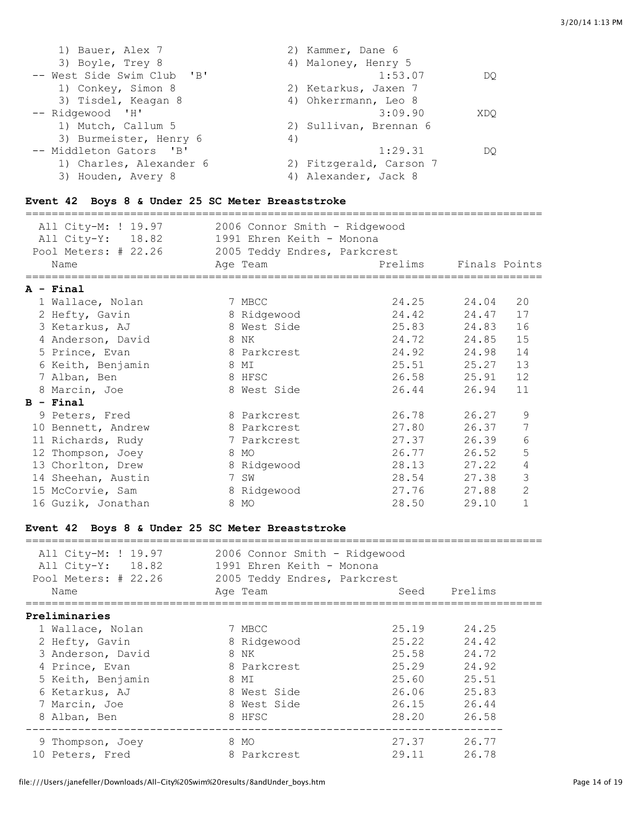| 1) Bauer, Alex 7           | 2) Kammer, Dane 6       |
|----------------------------|-------------------------|
| 3) Boyle, Trey 8           | 4) Maloney, Henry 5     |
| -- West Side Swim Club 'B' | 1:53.07<br>DO           |
| 1) Conkey, Simon 8         | 2) Ketarkus, Jaxen 7    |
| 3) Tisdel, Keagan 8        | 4) Ohkerrmann, Leo 8    |
| -- Ridgewood 'H'           | 3:09.90<br>XDO          |
| 1) Mutch, Callum 5         | 2) Sullivan, Brennan 6  |
| 3) Burmeister, Henry 6     | 4)                      |
| -- Middleton Gators 'B'    | 1:29.31<br>DO           |
| 1) Charles, Alexander 6    | 2) Fitzgerald, Carson 7 |
| 3) Houden, Avery 8         | 4) Alexander, Jack 8    |

## **Event 42 Boys 8 & Under 25 SC Meter Breaststroke**

| All City-M: ! 19.97                               | 2006 Connor Smith - Ridgewood |             |               |                |
|---------------------------------------------------|-------------------------------|-------------|---------------|----------------|
| All City-Y: 18.82                                 | 1991 Ehren Keith - Monona     |             |               |                |
| Pool Meters: # 22.26 2005 Teddy Endres, Parkcrest |                               |             |               |                |
| Name                                              | Age Team                      | Prelims     | Finals Points |                |
| ====================<br>$A - Final$               |                               |             |               |                |
| 1 Wallace, Nolan                                  | 7 MBCC                        | 24.25 24.04 |               | 20             |
| 2 Hefty, Gavin                                    | 8 Ridgewood                   | 24.42       | 24.47         | 17             |
| 3 Ketarkus, AJ                                    | 8 West Side                   | 25.83       | 24.83         | 16             |
| 4 Anderson, David                                 | 8 NK                          | 24.72 24.85 |               | 15             |
| 5 Prince, Evan                                    | 8 Parkcrest                   | 24.92 24.98 |               | 14             |
| 6 Keith, Benjamin                                 | 8 MI                          | 25.51 25.27 |               | 13             |
| 7 Alban, Ben                                      | 8 HFSC                        | 26.58 25.91 |               | 12             |
| 8 Marcin, Joe                                     | 8 West Side                   | 26.44       | 26.94         | 11             |
| $B - Final$                                       |                               |             |               |                |
| 9 Peters, Fred                                    | 8 Parkcrest                   | 26.78       | 26.27         | 9              |
| 10 Bennett, Andrew                                | 8 Parkcrest                   | 27.80       | 26.37         | 7              |
| 11 Richards, Rudy                                 | 7 Parkcrest                   | 27.37       | 26.39         | 6              |
| 12 Thompson, Joey                                 | 8 MO                          | 26.77       | 26.52         | 5              |
| 13 Chorlton, Drew                                 | 8 Ridgewood                   | 28.13       | 27.22         | 4              |
| 14 Sheehan, Austin                                | 7 SW                          | 28.54 27.38 |               | 3              |
| 15 McCorvie, Sam                                  | 8 Ridgewood                   | 27.76       | 27.88         | $\overline{2}$ |
| 16 Guzik, Jonathan                                | 8 MO                          | 28.50       | 29.10         | $\mathbf{1}$   |

### **Event 42 Boys 8 & Under 25 SC Meter Breaststroke**

| All City-M: ! 19.97<br>All City-Y: 18.82<br>Pool Meters: # 22.26 | 2006 Connor Smith - Ridgewood<br>1991 Ehren Keith - Monona<br>2005 Teddy Endres, Parkcrest |       |         |
|------------------------------------------------------------------|--------------------------------------------------------------------------------------------|-------|---------|
| Name                                                             | Age Team                                                                                   | Seed  | Prelims |
| Preliminaries                                                    |                                                                                            |       |         |
| 1 Wallace, Nolan                                                 | 7 MBCC                                                                                     | 25.19 | 24.25   |
| 2 Hefty, Gavin                                                   | 8 Ridgewood                                                                                | 25.22 | 24.42   |
| 3 Anderson, David                                                | 8 NK                                                                                       | 25.58 | 24.72   |
| 4 Prince, Evan                                                   | 8 Parkcrest                                                                                | 25.29 | 24.92   |
| 5 Keith, Benjamin                                                | 8 MI                                                                                       | 25.60 | 25.51   |
| 6 Ketarkus, AJ                                                   | 8 West Side                                                                                | 26.06 | 25.83   |
| 7 Marcin, Joe                                                    | 8 West Side                                                                                | 26.15 | 26.44   |
| 8 Alban, Ben                                                     | 8 HFSC                                                                                     | 28.20 | 26.58   |
| 9 Thompson, Joey                                                 | 8 MO                                                                                       | 27.37 | 26.77   |
| 10 Peters, Fred                                                  | 8 Parkcrest                                                                                | 29.11 | 26.78   |

===============================================================================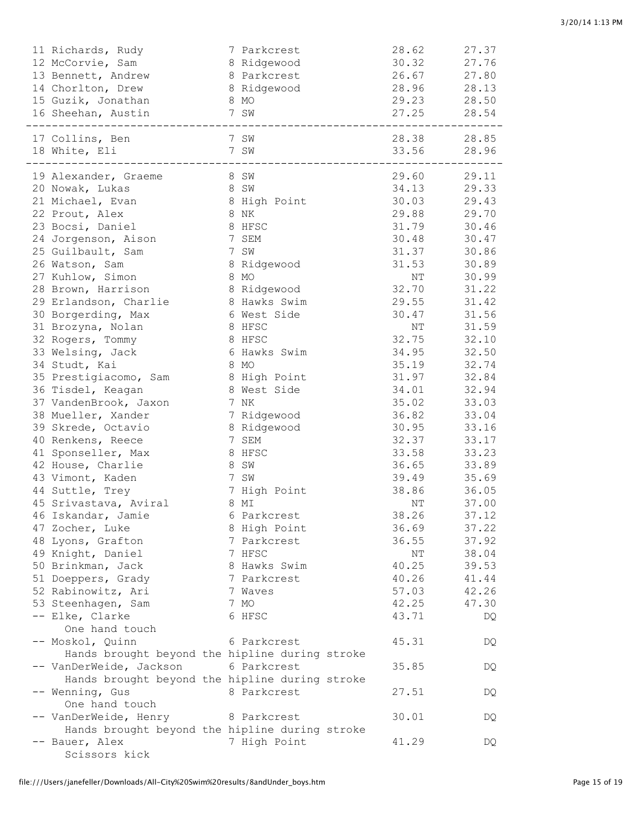| 13 Bennett, Andrew                             |      | 8 Parkcrest  | 26.67                   | 27.80 |
|------------------------------------------------|------|--------------|-------------------------|-------|
| 14 Chorlton, Drew                              |      | 8 Ridgewood  | 28.96                   | 28.13 |
| 15 Guzik, Jonathan                             |      | 8 MO         | 29.23                   | 28.50 |
| 16 Sheehan, Austin                             |      | 7 SW         | 27.25 28.54             |       |
|                                                |      |              | ----------------------- |       |
| 17 Collins, Ben                                |      | 7 SW         | 28.38 28.85             |       |
| 18 White, Eli                                  |      | 7 SW         | 33.56 28.96             |       |
| --------------                                 |      |              | ---------------------   |       |
| 19 Alexander, Graeme<br>20 Nowak, Lukas        | 8 SW | 8 SW         | 29.60 29.11<br>34.13    | 29.33 |
|                                                |      |              | 30.03                   | 29.43 |
| 21 Michael, Evan                               |      | 8 High Point |                         |       |
| 22 Prout, Alex                                 |      | 8 NK         | 29.88                   | 29.70 |
| 23 Bocsi, Daniel                               |      | 8 HFSC       | 31.79                   | 30.46 |
| 24 Jorgenson, Aison                            |      | 7 SEM        | 30.48                   | 30.47 |
| 25 Guilbault, Sam                              |      | 7 SW         | 31.37                   | 30.86 |
| 26 Watson, Sam                                 |      | 8 Ridgewood  | 31.53                   | 30.89 |
| 27 Kuhlow, Simon                               |      | 8 MO         | NT                      | 30.99 |
| 28 Brown, Harrison                             |      | 8 Ridgewood  | 32.70                   | 31.22 |
| 29 Erlandson, Charlie                          |      | 8 Hawks Swim | 29.55                   | 31.42 |
| 30 Borgerding, Max                             |      | 6 West Side  | 30.47                   | 31.56 |
| 31 Brozyna, Nolan                              |      | 8 HFSC       | NT                      | 31.59 |
| 32 Rogers, Tommy                               |      | 8 HFSC       | 32.75                   | 32.10 |
|                                                |      | 6 Hawks Swim | 34.95                   | 32.50 |
| 33 Welsing, Jack                               |      |              |                         |       |
| 34 Studt, Kai                                  |      | 8 MO         | 35.19                   | 32.74 |
| 35 Prestigiacomo, Sam                          |      | 8 High Point | 31.97                   | 32.84 |
| 36 Tisdel, Keagan                              |      | 8 West Side  | 34.01                   | 32.94 |
| 37 VandenBrook, Jaxon                          |      | 7 NK         | 35.02                   | 33.03 |
| 38 Mueller, Xander                             |      | 7 Ridgewood  | 36.82                   | 33.04 |
| 39 Skrede, Octavio                             |      | 8 Ridgewood  | 30.95                   | 33.16 |
| 40 Renkens, Reece                              |      | 7 SEM        | 32.37                   | 33.17 |
| 41 Sponseller, Max                             |      | 8 HFSC       | 33.58                   | 33.23 |
| 42 House, Charlie                              |      | 8 SW         | 36.65                   | 33.89 |
| 43 Vimont, Kaden                               |      | 7 SW         | 39.49                   | 35.69 |
| 44 Suttle, Trey                                |      | 7 High Point | 38.86                   | 36.05 |
| 45 Srivastava, Aviral                          |      | 8 MI         | NT                      | 37.00 |
|                                                |      |              | 38.26                   | 37.12 |
| 46 Iskandar, Jamie                             |      | 6 Parkcrest  |                         |       |
| 47 Zocher, Luke                                |      | 8 High Point | 36.69                   | 37.22 |
| 48 Lyons, Grafton                              |      | 7 Parkcrest  | 36.55                   | 37.92 |
| 49 Knight, Daniel                              |      | 7 HFSC       | NΤ                      | 38.04 |
| 50 Brinkman, Jack                              |      | 8 Hawks Swim | 40.25                   | 39.53 |
| 51 Doeppers, Grady                             |      | 7 Parkcrest  | 40.26                   | 41.44 |
| 52 Rabinowitz, Ari                             |      | 7 Waves      | 57.03                   | 42.26 |
| 53 Steenhagen, Sam                             |      | 7 MO         | 42.25                   | 47.30 |
| -- Elke, Clarke<br>One hand touch              |      | 6 HFSC       | 43.71                   | DQ    |
| -- Moskol, Quinn                               |      | 6 Parkcrest  | 45.31                   | DQ    |
| Hands brought beyond the hipline during stroke |      |              |                         |       |
| -- VanDerWeide, Jackson                        |      | 6 Parkcrest  | 35.85                   | DQ    |
| Hands brought beyond the hipline during stroke |      |              |                         |       |
| -- Wenning, Gus<br>One hand touch              |      | 8 Parkcrest  | 27.51                   | DQ    |
| -- VanDerWeide, Henry                          |      | 8 Parkcrest  | 30.01                   | DQ    |
| Hands brought beyond the hipline during stroke |      |              |                         |       |
| -- Bauer, Alex                                 |      | 7 High Point | 41.29                   | DQ    |
| Scissors kick                                  |      |              |                         |       |
|                                                |      |              |                         |       |

11 Richards, Rudy 7 Parkcrest 28.62 27.37 12 McCorvie, Sam 8 Ridgewood 30.32 27.76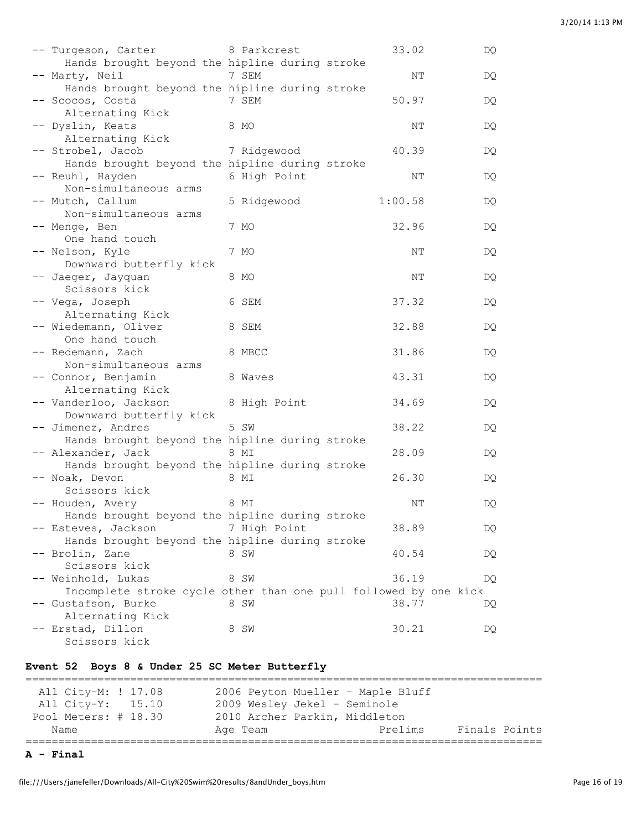| -- Turgeson, Carter                                                                    | 8 Parkcrest  | 33.02   | DQ |
|----------------------------------------------------------------------------------------|--------------|---------|----|
| Hands brought beyond the hipline during stroke<br>-- Marty, Neil                       | 7 SEM        | ΝT      | DQ |
| Hands brought beyond the hipline during stroke<br>-- Scocos, Costa<br>Alternating Kick | 7 SEM        | 50.97   | DQ |
| -- Dyslin, Keats<br>Alternating Kick                                                   | 8 MO         | ΝT      | DQ |
| -- Strobel, Jacob<br>Hands brought beyond the hipline during stroke                    | 7 Ridgewood  | 40.39   | DQ |
| -- Reuhl, Hayden<br>Non-simultaneous arms                                              | 6 High Point | NΤ      | DQ |
| -- Mutch, Callum<br>Non-simultaneous arms                                              | 5 Ridgewood  | 1:00.58 | DQ |
| -- Menge, Ben<br>One hand touch                                                        | 7 MO         | 32.96   | DQ |
| -- Nelson, Kyle                                                                        | 7 MO         | NΤ      | DQ |
| Downward butterfly kick<br>-- Jaeger, Jayquan                                          | 8 MO         | NΤ      | DQ |
| Scissors kick<br>-- Vega, Joseph                                                       | 6 SEM        | 37.32   | DQ |
| Alternating Kick<br>-- Wiedemann, Oliver                                               | 8 SEM        | 32.88   | DQ |
| One hand touch<br>-- Redemann, Zach                                                    | 8 MBCC       | 31.86   | DQ |
| Non-simultaneous arms<br>-- Connor, Benjamin                                           | 8 Waves      | 43.31   | DQ |
| Alternating Kick<br>-- Vanderloo, Jackson                                              | 8 High Point | 34.69   | DQ |
| Downward butterfly kick<br>-- Jimenez, Andres                                          | 5 SW         | 38.22   | DQ |
| Hands brought beyond the hipline during stroke<br>-- Alexander, Jack                   | 8 MI         | 28.09   | DQ |
| Hands brought beyond the hipline during stroke<br>-- Noak, Devon                       | 8 MI         | 26.30   | DQ |
| Scissors kick<br>-- Houden, Avery                                                      | 8 MI         | NΤ      | DQ |
| Hands brought beyond the hipline during stroke<br>-- Esteves, Jackson                  | 7 High Point | 38.89   | DQ |
| Hands brought beyond the hipline during stroke<br>-- Brolin, Zane                      | 8 SW         | 40.54   | DQ |
| Scissors kick<br>-- Weinhold, Lukas                                                    | 8 SW         | 36.19   | DQ |
| Incomplete stroke cycle other than one pull followed by one kick<br>Gustafson, Burke   | 8 SW         | 38.77   | DQ |
| Alternating Kick<br>-- Erstad, Dillon<br>Scissors kick                                 | 8 SW         | 30.21   | DQ |

#### **Event 52 Boys 8 & Under 25 SC Meter Butterfly**

=============================================================================== All City-M: ! 17.08 2006 Peyton Mueller - Maple Bluff All City-Y: 15.10 2009 Wesley Jekel - Seminole Pool Meters: # 18.30 2010 Archer Parkin, Middleton Name Age Team Prelims Finals Points ===============================================================================

**A - Final**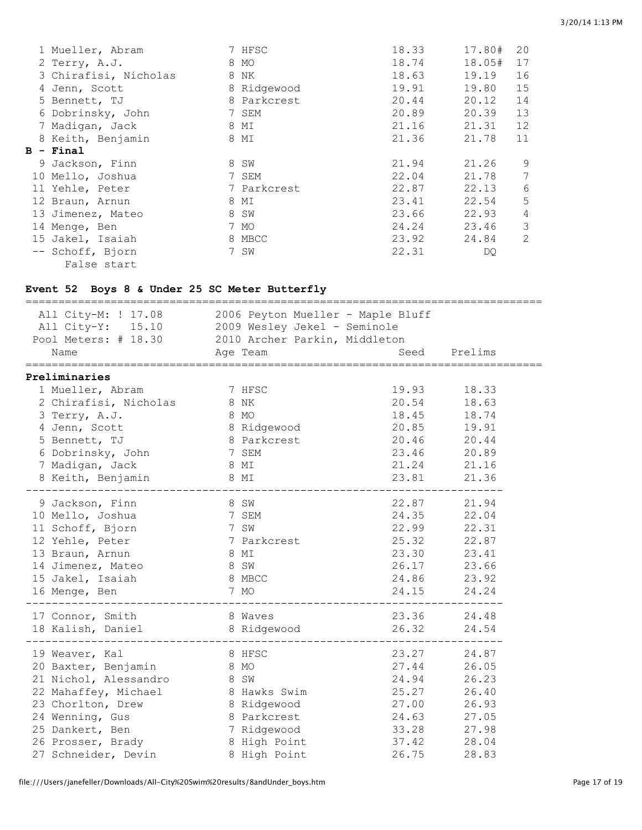|   | 1 Mueller, Abram      | 7 HFSC      | 18.33 | 17.80# | 20             |
|---|-----------------------|-------------|-------|--------|----------------|
|   | 2 Terry, A.J.         | 8 MO        | 18.74 | 18.05# | 17             |
|   | 3 Chirafisi, Nicholas | 8 NK        | 18.63 | 19.19  | 16             |
|   | 4 Jenn, Scott         | 8 Ridgewood | 19.91 | 19.80  | 15             |
|   | 5 Bennett, TJ         | 8 Parkcrest | 20.44 | 20.12  | 14             |
|   | 6 Dobrinsky, John     | 7 SEM       | 20.89 | 20.39  | 13             |
|   | 7 Madigan, Jack       | 8 MI        | 21.16 | 21.31  | 12             |
|   | 8 Keith, Benjamin     | 8 MI        | 21.36 | 21.78  | 11             |
| в | - Final               |             |       |        |                |
|   | 9 Jackson, Finn       | 8 SW        | 21.94 | 21.26  | 9              |
|   | 10 Mello, Joshua      | 7 SEM       | 22.04 | 21.78  | 7              |
|   | 11 Yehle, Peter       | 7 Parkcrest | 22.87 | 22.13  | 6              |
|   | 12 Braun, Arnun       | 8 MI        | 23.41 | 22.54  | 5              |
|   | 13 Jimenez, Mateo     | 8 SW        | 23.66 | 22.93  | $\overline{4}$ |
|   | 14 Menge, Ben         | 7 MO        | 24.24 | 23.46  | 3              |
|   | 15 Jakel, Isaiah      | 8 MBCC      | 23.92 | 24.84  | 2              |
|   | -- Schoff, Bjorn      | 7 SW        | 22.31 | DQ     |                |
|   | False start           |             |       |        |                |

## **Event 52 Boys 8 & Under 25 SC Meter Butterfly**

| All City-M: ! 17.08<br>All City-Y: 15.10 2009 Wesley Jekel - Seminole<br>Pool Meters: # 18.30 2010 Archer Parkin, Middleton<br>Name | 2006 Peyton Mueller - Maple Bluff<br>Age Team |             | Seed Prelims |
|-------------------------------------------------------------------------------------------------------------------------------------|-----------------------------------------------|-------------|--------------|
|                                                                                                                                     |                                               |             |              |
| Preliminaries                                                                                                                       |                                               |             |              |
| 1 Mueller, Abram                                                                                                                    | 7 HFSC                                        | 19.93       | 18.33        |
| 2 Chirafisi, Nicholas 8 NK                                                                                                          |                                               | 20.54 18.63 |              |
| 3 Terry, A.J.                                                                                                                       | 8 MO                                          | 18.45 18.74 |              |
| 4 Jenn, Scott                                                                                                                       | 8 Ridgewood                                   | 20.85 19.91 |              |
| 5 Bennett, TJ                                                                                                                       | 8 Parkcrest                                   | 20.46 20.44 |              |
| 6 Dobrinsky, John 7 SEM                                                                                                             |                                               | 23.46 20.89 |              |
| 7 Madigan, Jack                                                                                                                     | 8 MI                                          | 21.24 21.16 |              |
| 8 Keith, Benjamin 8 MI                                                                                                              |                                               | 23.81 21.36 |              |
|                                                                                                                                     |                                               |             |              |
| 8 SW<br>9 Jackson, Finn                                                                                                             |                                               | 22.87 21.94 |              |
| 10 Mello, Joshua                                                                                                                    | 7 SEM                                         | 24.35 22.04 |              |
| 7 SW<br>11 Schoff, Bjorn                                                                                                            |                                               | 22.99 22.31 |              |
| 12 Yehle, Peter                                                                                                                     | 7 Parkcrest                                   | 25.32 22.87 |              |
| 13 Braun, Arnun                                                                                                                     | 8 MI                                          | 23.30 23.41 |              |
| 14 Jimenez, Mateo                                                                                                                   | 8 SW                                          | 26.17 23.66 |              |
| 15 Jakel, Isaiah                                                                                                                    | 8 MBCC                                        | 24.86 23.92 |              |
| 16 Menge, Ben                                                                                                                       | 7 MO                                          | 24.15 24.24 |              |
|                                                                                                                                     |                                               |             |              |
| 17 Connor, Smith                                                                                                                    | 8 Waves                                       | 23.36 24.48 |              |
| 18 Kalish, Daniel 8 Ridgewood                                                                                                       |                                               | 26.32       | 24.54        |
| 19 Weaver, Kal                                                                                                                      | 8 HFSC                                        | 23.27 24.87 |              |
| 20 Baxter, Benjamin                                                                                                                 | 8 MO                                          | 27.44       | 26.05        |
| 21 Nichol, Alessandro                                                                                                               | 8 SW                                          | 24.94       | 26.23        |
| 22 Mahaffey, Michael                                                                                                                | 8 Hawks Swim                                  | 25.27       | 26.40        |
| 23 Chorlton, Drew                                                                                                                   | 8 Ridgewood                                   | 27.00       | 26.93        |
| 24 Wenning, Gus                                                                                                                     | 8 Parkcrest                                   | 24.63       | 27.05        |
| 25 Dankert, Ben                                                                                                                     | 7 Ridgewood                                   | 33.28       | 27.98        |
| 26 Prosser, Brady                                                                                                                   | 8 High Point                                  | 37.42       | 28.04        |
| 27 Schneider, Devin                                                                                                                 | 8 High Point                                  | 26.75       | 28.83        |
|                                                                                                                                     |                                               |             |              |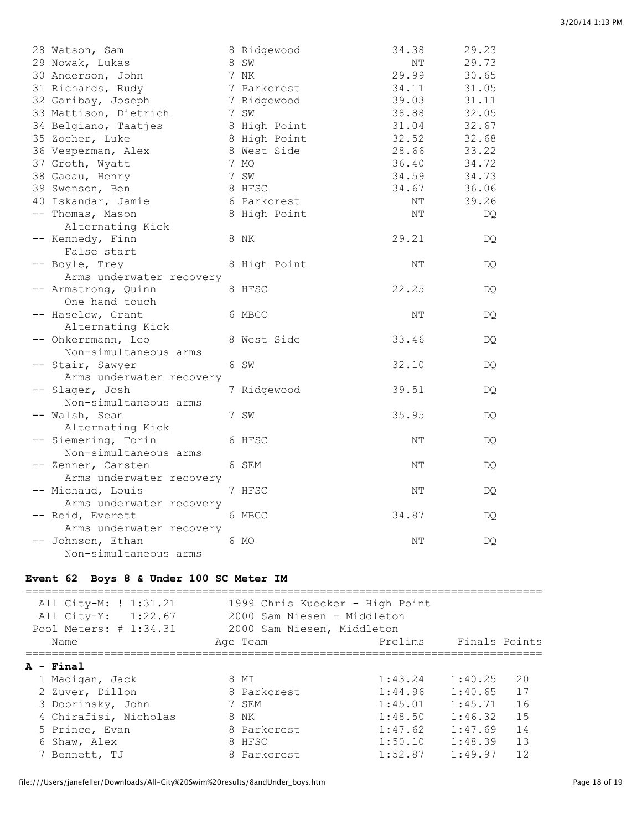| 3/20/14 1:13 PM |  |
|-----------------|--|
|                 |  |

| 28 Watson, Sam           | 8 Ridgewood  | 34.38 | 29.23 |
|--------------------------|--------------|-------|-------|
| 29 Nowak, Lukas          | 8 SW         | NΤ    | 29.73 |
| 30 Anderson, John        | 7 NK         | 29.99 | 30.65 |
| 31 Richards, Rudy        | 7 Parkcrest  | 34.11 | 31.05 |
| 32 Garibay, Joseph       | 7 Ridgewood  | 39.03 | 31.11 |
| 33 Mattison, Dietrich    | 7 SW         | 38.88 | 32.05 |
| 34 Belgiano, Taatjes     | 8 High Point | 31.04 | 32.67 |
| 35 Zocher, Luke          | 8 High Point | 32.52 | 32.68 |
| 36 Vesperman, Alex       | 8 West Side  | 28.66 | 33.22 |
| 37 Groth, Wyatt          | 7 MO         | 36.40 | 34.72 |
| 38 Gadau, Henry          | 7 SW         | 34.59 | 34.73 |
| 39 Swenson, Ben          | 8 HFSC       | 34.67 | 36.06 |
| 40 Iskandar, Jamie       | 6 Parkcrest  | NΤ    | 39.26 |
| -- Thomas, Mason         | 8 High Point | ΝT    | DQ    |
| Alternating Kick         |              |       |       |
| -- Kennedy, Finn         | 8 NK         | 29.21 | DQ.   |
| False start              |              |       |       |
| -- Boyle, Trey           | 8 High Point | NΤ    | DQ.   |
| Arms underwater recovery |              |       |       |
| -- Armstrong, Quinn      | 8 HFSC       | 22.25 | DQ    |
| One hand touch           |              |       |       |
| -- Haselow, Grant        | 6 MBCC       | NΤ    | DQ.   |
| Alternating Kick         |              |       |       |
| -- Ohkerrmann, Leo       | 8 West Side  | 33.46 | DQ.   |
| Non-simultaneous arms    |              |       |       |
| -- Stair, Sawyer         | 6 SW         | 32.10 | DQ.   |
| Arms underwater recovery |              |       |       |
| -- Slager, Josh          | 7 Ridgewood  | 39.51 | DQ    |
| Non-simultaneous arms    |              |       |       |
| -- Walsh, Sean           | 7 SW         | 35.95 | DQ.   |
| Alternating Kick         |              |       |       |
| -- Siemering, Torin      | 6 HFSC       | ΝT    | DQ.   |
| Non-simultaneous arms    |              |       |       |
| -- Zenner, Carsten       | 6 SEM        | NΤ    | DQ    |
| Arms underwater recovery |              |       |       |
| -- Michaud, Louis        | 7 HFSC       | NΤ    | DQ    |
| Arms underwater recovery |              |       |       |
| -- Reid, Everett         | 6 MBCC       | 34.87 | DQ.   |
| Arms underwater recovery |              |       |       |
| -- Johnson, Ethan        | 6 MO         | NΤ    | DQ.   |
| Non-simultaneous arms    |              |       |       |

#### **Event 62 Boys 8 & Under 100 SC Meter IM**

=============================================================================== All City-M: ! 1:31.21 1999 Chris Kuecker - High Point All City-Y: 1:22.67 2000 Sam Niesen - Middleton Pool Meters: # 1:34.31 2000 Sam Niesen, Middleton Name **Age Team** Prelims Finals Points =============================================================================== **A - Final** 1 Madigan, Jack 8 MI 1:43.24 1:40.25 20 2 Zuver, Dillon 8 Parkcrest 1:44.96 1:40.65 17 3 Dobrinsky, John 7 SEM 1:45.01 1:45.71 16 4 Chirafisi, Nicholas 8 NK 1:48.50 1:46.32 15 5 Prince, Evan 8 Parkcrest 1:47.62 1:47.69 14 6 Shaw, Alex 8 HFSC 1:50.10 1:48.39 13 7 Bennett, TJ 8 Parkcrest 1:52.87 1:49.97 12